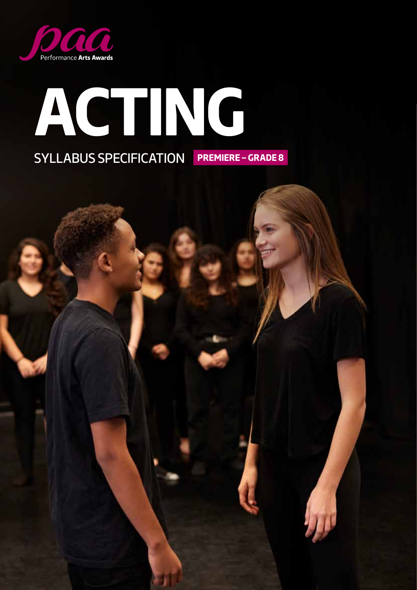

# **ACTING** SYLLABUS SPECIFICATION **PREMIERE – GRADE 8**

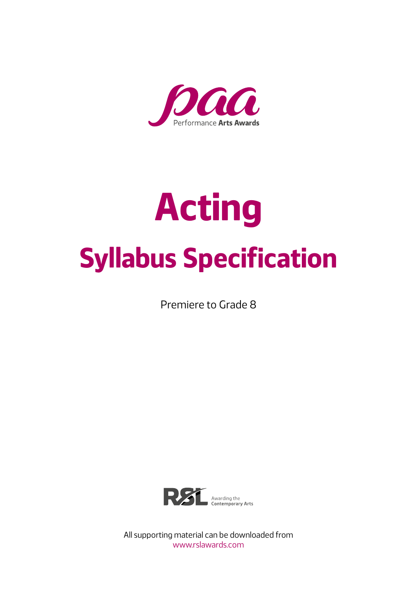

# **Acting Syllabus Specification**

Premiere to Grade 8



All supporting material can be downloaded from www.rslawards.com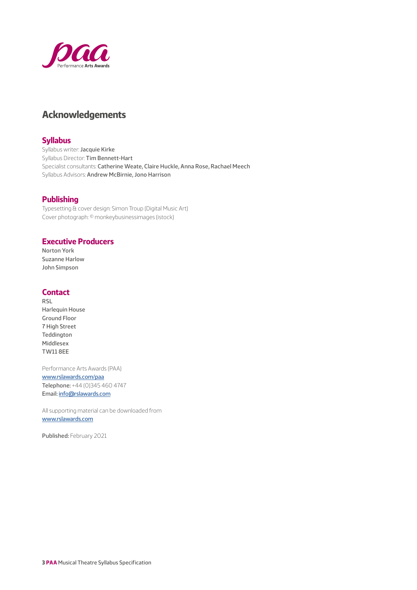

## **Acknowledgements**

## **Syllabus**

Syllabus writer: Jacquie Kirke Syllabus Director: Tim Bennett-Hart Specialist consultants: Catherine Weate, Claire Huckle, Anna Rose, Rachael Meech Syllabus Advisors: Andrew McBirnie, Jono Harrison

## **Publishing**

Typesetting & cover design: Simon Troup (Digital Music Art) Cover photograph: © monkeybusinessimages (istock)

## **Executive Producers**

Norton York Suzanne Harlow John Simpson

## **Contact**

RSL Harlequin House Ground Floor 7 High Street Teddington Middlesex TW11 8EE

Performance Arts Awards (PAA) [www.rslawards.com/paa](https://www.rslawards.com/paa/) Telephone: +44 (0)345 460 4747 Email: [info@rslawards.com](mailto://info@rslawards.com)

All supporting material can be downloaded from [www.rslawards.com](https://www.rslawards.com/)

Published: February 2021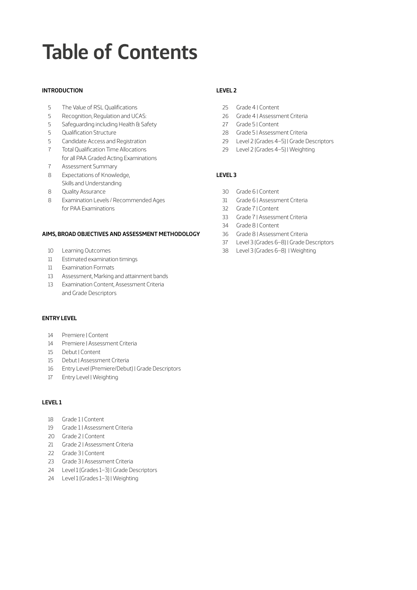# <span id="page-3-0"></span>**Table of Contents**

#### **[INTRODUCTION](#page-4-0)**

- [The Value of RSL Qualifications](#page-4-0)
- [Recognition, Regulation and UCAS:](#page-4-0)
- [Safeguarding including Health & Safety](#page-4-0)
- [Qualification Structure](#page-4-0)
- [Candidate Access and Registration](#page-4-0)
- [Total Qualification Time Allocations](#page-6-0)  [for all PAA Graded Acting Examinations](#page-6-0)
- [Assessment Summary](#page-6-0)
- [Expectations of Knowledge,](#page-7-0)  [Skills and Understanding](#page-7-0)
- [Quality Assurance](#page-7-0)
- [Examination Levels / Recommended Ages](#page-7-0)  [for PAA Examinations](#page-7-0)

#### **[AIMS, BROAD OBJECTIVES AND ASSESSMENT METHODOLOGY](#page-9-0)**

- [Learning Outcomes](#page-9-0)
- [Estimated examination timings](#page-10-0)
- [Examination Formats](#page-10-0)
- [Assessment, Marking and attainment bands](#page-12-0)
- [Examination Content, Assessment Criteria](#page-12-0)  [and Grade Descriptors](#page-12-0)

#### **[ENTRY LEVEL](#page-13-0)**

- [Premiere | Content](#page-13-0)
- [Premiere | Assessment Criteria](#page-13-0)
- [Debut | Content](#page-14-0)
- [Debut | Assessment Criteria](#page-14-0)
- [Entry Level \(Premiere/Debut\) | Grade Descriptors](#page-15-0)
- [Entry Level | Weighting](#page-16-0)

### **[LEVEL 1](#page-17-0)**

- [Grade 1 | Content](#page-17-0)
- [Grade 1 | Assessment Criteria](#page-18-0)
- [Grade 2 | Content](#page-19-0)
- [Grade 2 | Assessment Criteria](#page-20-0)
- [Grade 3 | Content](#page-21-0)
- [Grade 3 | Assessment Criteria](#page-22-0)
- [Level 1 \(Grades 1–3\) | Grade Descriptors](#page-23-0)
- [Level 1 \(Grades 1–3\) | Weighting](#page-23-0)

## **[LEVEL 2](#page-24-0)**

- [Grade 4 | Content](#page-24-0)
- [Grade 4 | Assessment Criteria](#page-25-0)
- [Grade 5 | Content](#page-26-0)
- [Grade 5 | Assessment Criteria](#page-27-0)
- [Level 2 \(Grades 4–5\) | Grade Descriptors](#page-28-0)
- [Level 2 \(Grades 4–5\) | Weighting](#page-28-0)

## **[LEVEL 3](#page-29-0)**

- [Grade 6 | Content](#page-29-0)
- [Grade 6 | Assessment Criteria](#page-30-0)
- [Grade 7 | Content](#page-31-0)
- [Grade 7 | Assessment Criteria](#page-32-0)
- [Grade 8 | Content](#page-33-0)
- [Grade 8 | Assessment Criteria](#page-35-0)
- [Level 3 \(Grades 6–8\) | Grade Descriptors](#page-36-0)
- [Level 3 \(Grades 6–8\) | Weighting](#page-37-0)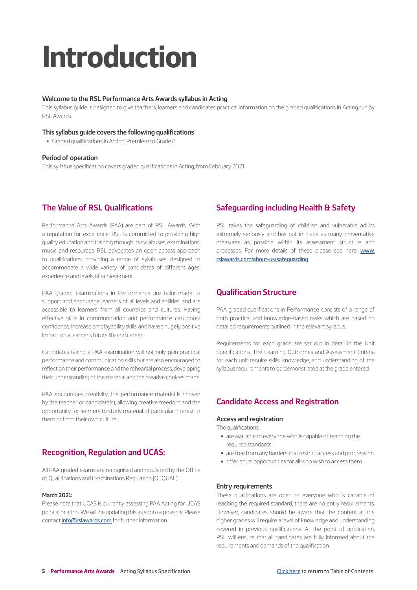# <span id="page-4-0"></span>**Introduction**

#### **Welcome to the RSL Performance Arts Awards syllabus in Acting**

This syllabus guide is designed to give teachers, learners and candidates practical information on the graded qualifications in Acting run by RSL Awards.

#### **This syllabus guide covers the following qualifications**

■ Graded qualifications in Acting: Premiere to Grade 8

#### **Period of operation**

This syllabus specification covers graded qualifications in Acting, from February 2021.

## **The Value of RSL Qualifications**

Performance Arts Awards (PAA) are part of RSL Awards. With a reputation for excellence, RSL is committed to providing high quality education and training through its syllabuses, examinations, music and resources. RSL advocates an open access approach to qualifications, providing a range of syllabuses, designed to accommodate a wide variety of candidates of different ages, experience and levels of achievement.

PAA graded examinations in Performance are tailor-made to support and encourage learners of all levels and abilities, and are accessible to learners from all countries and cultures. Having effective skills in communication and performance can boost confidence, increase employability skills, and have a hugely positive impact on a learner's future life and career.

Candidates taking a PAA examination will not only gain practical performance and communication skills but are also encouraged to reflect on their performance and the rehearsal process, developing their understanding of the material and the creative choices made.

PAA encourages creativity; the performance material is chosen by the teacher or candidate(s), allowing creative freedom and the opportunity for learners to study material of particular interest to them or from their own culture.

## **Recognition, Regulation and UCAS:**

All PAA graded exams are recognised and regulated by the Office of Qualifications and Examinations Regulation (OFQUAL).

#### **March 2021:**

Please note that UCAS is currently assessing PAA Acting for UCAS point allocation. We will be updating this as soon as possible. Please contact [info@rslawards.com](mailto:info@rslawards.com) for further information.

## **Safeguarding including Health & Safety**

RSL takes the safeguarding of children and vulnerable adults extremely seriously and has put in place as many preventative measures as possible within its assessment structure and processes. For more details of these please see here: [www.](http://www.rslawards.com/about-us/safeguarding) [rslawards.com/about-us/safeguarding](http://www.rslawards.com/about-us/safeguarding)

## **Qualification Structure**

PAA graded qualifications in Performance consists of a range of both practical and knowledge-based tasks which are based on detailed requirements outlined in the relevant syllabus.

Requirements for each grade are set out in detail in the Unit Specifications. The Learning Outcomes and Assessment Criteria for each unit require skills, knowledge, and understanding of the syllabus requirements to be demonstrated at the grade entered.

## **Candidate Access and Registration**

#### **Access and registration**

The qualifications:

- are available to everyone who is capable of reaching the required standards
- are free from any barriers that restrict access and progression
- offer equal opportunities for all who wish to access them

#### **Entry requirements**

These qualifications are open to everyone who is capable of reaching the required standard; there are no entry requirements. However, candidates should be aware that the content at the higher grades will require a level of knowledge and understanding covered in previous qualifications. At the point of application, RSL will ensure that all candidates are fully informed about the requirements and demands of the qualification.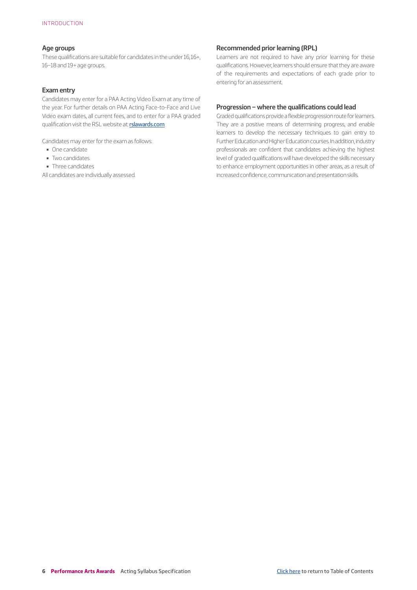#### **Age groups**

These qualifications are suitable for candidates in the under 16, 16+, 16–18 and 19+ age groups.

#### **Exam entry**

Candidates may enter for a PAA Acting Video Exam at any time of the year. For further details on PAA Acting Face-to-Face and Live Video exam dates, all current fees, and to enter for a PAA graded qualification visit the RSL website at: **[rslawards.com](http://rslawards.com)** 

Candidates may enter for the exam as follows:

- One candidate
- ▬ Two candidates
- Three candidates

All candidates are individually assessed.

#### **Recommended prior learning (RPL)**

Learners are not required to have any prior learning for these qualifications. However, learners should ensure that they are aware of the requirements and expectations of each grade prior to entering for an assessment.

#### **Progression – where the qualifications could lead**

Graded qualifications provide a flexible progression route for learners. They are a positive means of determining progress, and enable learners to develop the necessary techniques to gain entry to Further Education and Higher Education courses. In addition, industry professionals are confident that candidates achieving the highest level of graded qualifications will have developed the skills necessary to enhance employment opportunities in other areas, as a result of increased confidence, communication and presentation skills.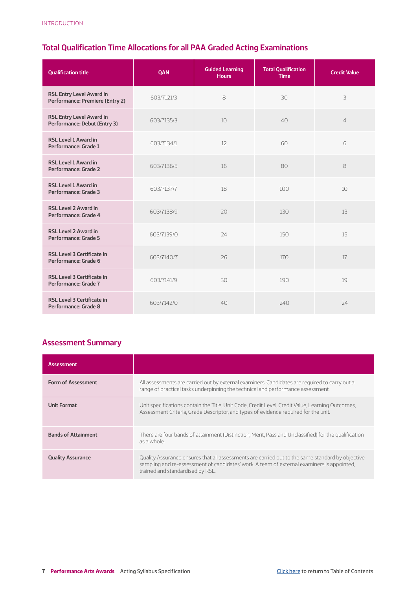## <span id="page-6-0"></span>**Total Qualification Time Allocations for all PAA Graded Acting Examinations**

| <b>Qualification title</b>                                         | <b>OAN</b> | <b>Guided Learning</b><br><b>Hours</b> | <b>Total Qualification</b><br><b>Time</b> | <b>Credit Value</b> |
|--------------------------------------------------------------------|------------|----------------------------------------|-------------------------------------------|---------------------|
| <b>RSL Entry Level Award in</b><br>Performance: Premiere (Entry 2) | 603/7121/3 | 8                                      | 30                                        | 3                   |
| <b>RSL Entry Level Award in</b><br>Performance: Debut (Entry 3)    | 603/7135/3 | 10                                     | 40                                        | $\overline{4}$      |
| <b>RSL Level 1 Award in</b><br>Performance: Grade 1                | 603/7134/1 | 12                                     | 60                                        | 6                   |
| <b>RSL Level 1 Award in</b><br>Performance: Grade 2                | 603/7136/5 | 16                                     | 80                                        | 8                   |
| <b>RSL Level 1 Award in</b><br>Performance: Grade 3                | 603/7137/7 | 18                                     | 100                                       | 10                  |
| <b>RSL Level 2 Award in</b><br>Performance: Grade 4                | 603/7138/9 | 20                                     | 130                                       | 13                  |
| <b>RSL Level 2 Award in</b><br>Performance: Grade 5                | 603/7139/0 | 24                                     | 150                                       | 15                  |
| <b>RSL Level 3 Certificate in</b><br>Performance: Grade 6          | 603/7140/7 | 26                                     | 170                                       | 17                  |
| <b>RSL Level 3 Certificate in</b><br>Performance: Grade 7          | 603/7141/9 | 30                                     | 190                                       | 19                  |
| <b>RSL Level 3 Certificate in</b><br>Performance: Grade 8          | 603/7142/0 | 40                                     | 240                                       | 24                  |

## **Assessment Summary**

| <b>Assessment</b>          |                                                                                                                                                                                                                                    |
|----------------------------|------------------------------------------------------------------------------------------------------------------------------------------------------------------------------------------------------------------------------------|
| <b>Form of Assessment</b>  | All assessments are carried out by external examiners. Candidates are required to carry out a<br>range of practical tasks underpinning the technical and performance assessment.                                                   |
| <b>Unit Format</b>         | Unit specifications contain the Title, Unit Code, Credit Level, Credit Value, Learning Outcomes,<br>Assessment Criteria, Grade Descriptor, and types of evidence required for the unit.                                            |
| <b>Bands of Attainment</b> | There are four bands of attainment (Distinction, Merit, Pass and Unclassified) for the qualification<br>as a whole.                                                                                                                |
| <b>Quality Assurance</b>   | Quality Assurance ensures that all assessments are carried out to the same standard by objective<br>sampling and re-assessment of candidates' work. A team of external examiners is appointed.<br>trained and standardised by RSL. |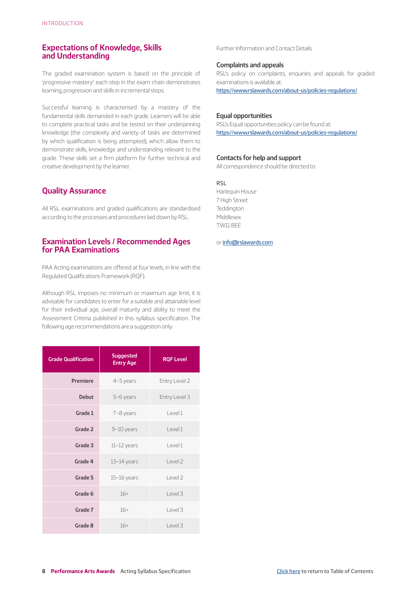## <span id="page-7-0"></span>**Expectations of Knowledge, Skills and Understanding**

The graded examination system is based on the principle of 'progressive mastery': each step in the exam chain demonstrates learning, progression and skills in incremental steps.

Successful learning is characterised by a mastery of the fundamental skills demanded in each grade. Learners will be able to complete practical tasks and be tested on their underpinning knowledge (the complexity and variety of tasks are determined by which qualification is being attempted), which allow them to demonstrate skills, knowledge and understanding relevant to the grade. These skills set a firm platform for further technical and creative development by the learner.

## **Quality Assurance**

All RSL examinations and graded qualifications are standardised according to the processes and procedures laid down by RSL.

## **Examination Levels / Recommended Ages for PAA Examinations**

PAA Acting examinations are offered at four levels, in line with the Regulated Qualifications Framework (RQF).

Although RSL imposes no minimum or maximum age limit, it is advisable for candidates to enter for a suitable and attainable level for their individual age, overall maturity and ability to meet the Assessment Criteria published in this syllabus specification. The following age recommendations are a suggestion only:

| <b>Grade Qualification</b> | <b>Suggested</b><br><b>Entry Age</b> | <b>RQF Level</b>   |
|----------------------------|--------------------------------------|--------------------|
| <b>Premiere</b>            | 4-5 years                            | Entry Level 2      |
| <b>Debut</b>               | 5-6 years                            | Entry Level 3      |
| Grade 1                    | 7-8 years                            | Level 1            |
| Grade 2                    | 9-10 years                           | $ $ evel 1         |
| Grade 3                    | $11-12$ years                        | Level 1            |
| Grade 4                    | $13-14$ years                        | Level <sub>2</sub> |
| Grade 5                    | $15-16$ years                        | Level <sub>2</sub> |
| Grade 6                    | $16+$                                | Level 3            |
| Grade 7                    | $16+$                                | Level 3            |
| Grade 8                    | $16+$                                | Level 3            |

Further Information and Contact Details

#### **Complaints and appeals**

RSL's policy on complaints, enquiries and appeals for graded examinations is available at:

<https://www.rslawards.com/about-us/policies-regulations/>

#### **Equal opportunities**

RSL's Equal opportunities policy can be found at: <https://www.rslawards.com/about-us/policies-regulations/>

#### **Contacts for help and support**

All correspondence should be directed to:

RSL

Harlequin House 7 High Street **Teddington** Middlesex TW11 8EE

or [info@rslawards.com](mailto://info@rslawards.com)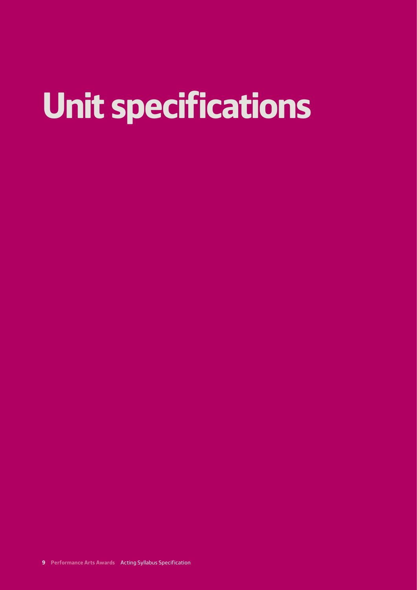# **Unit specifications**

**9 Performance Arts Awards** Acting Syllabus Specification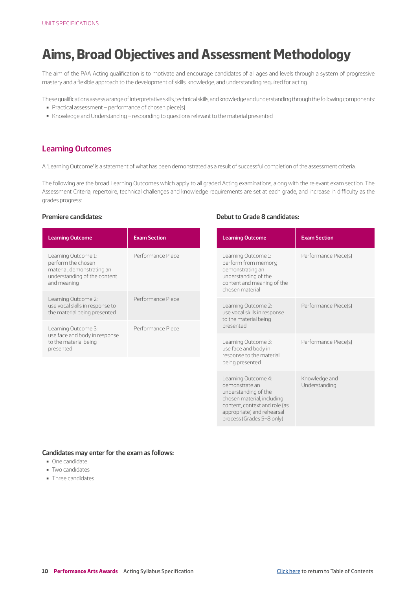# <span id="page-9-0"></span>**Aims, Broad Objectives and Assessment Methodology**

The aim of the PAA Acting qualification is to motivate and encourage candidates of all ages and levels through a system of progressive mastery and a flexible approach to the development of skills, knowledge, and understanding required for acting.

These qualifications assess a range of interpretative skills, technical skills, and knowledge and understanding through the following components:

- Practical assessment performance of chosen piece(s)
- Knowledge and Understanding responding to questions relevant to the material presented

## **Learning Outcomes**

A 'Learning Outcome' is a statement of what has been demonstrated as a result of successful completion of the assessment criteria.

The following are the broad Learning Outcomes which apply to all graded Acting examinations, along with the relevant exam section. The Assessment Criteria, repertoire, technical challenges and knowledge requirements are set at each grade, and increase in difficulty as the grades progress:

#### **Premiere candidates:**

| <b>Learning Outcome</b>                                                                                                | <b>Exam Section</b> |
|------------------------------------------------------------------------------------------------------------------------|---------------------|
| Learning Outcome 1:<br>perform the chosen<br>material, demonstrating an<br>understanding of the content<br>and meaning | Performance Piece   |
| Learning Outcome 2:<br>use vocal skills in response to<br>the material being presented                                 | Performance Piece   |
| Learning Outcome 3:<br>use face and body in response<br>to the material being<br>presented                             | Performance Piece   |

#### **Debut to Grade 8 candidates:**

| <b>Learning Outcome</b>                                                                                                                                                                 | <b>Exam Section</b>            |
|-----------------------------------------------------------------------------------------------------------------------------------------------------------------------------------------|--------------------------------|
| Learning Outcome 1:<br>perform from memory,<br>demonstrating an<br>understanding of the<br>content and meaning of the<br>chosen material                                                | Performance Piece(s)           |
| Learning Outcome 2:<br>use vocal skills in response<br>to the material being<br>presented                                                                                               | Performance Piece(s)           |
| Learning Outcome 3:<br>use face and body in<br>response to the material<br>being presented                                                                                              | Performance Piece(s)           |
| Learning Outcome 4:<br>demonstrate an<br>understanding of the<br>chosen material, including<br>content, context and role (as<br>appropriate) and rehearsal<br>process (Grades 5-8 only) | Knowledge and<br>Understanding |

#### **Candidates may enter for the exam as follows:**

- ▬ One candidate
- Two candidates
- Three candidates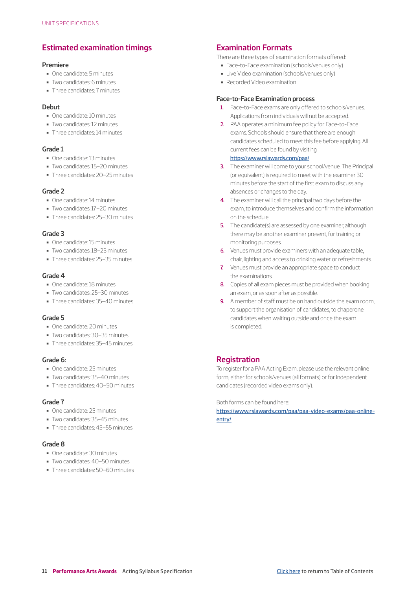## <span id="page-10-0"></span>**Estimated examination timings**

#### **Premiere**

- ▬ One candidate: 5 minutes
- ▬ Two candidates: 6 minutes
- ▬ Three candidates: 7 minutes

#### **Debut**

- ▬ One candidate: 10 minutes
- ▬ Two candidates: 12 minutes
- ▬ Three candidates: 14 minutes

#### **Grade 1**

- ▬ One candidate: 13 minutes
- ▬ Two candidates: 15–20 minutes
- ▬ Three candidates: 20–25 minutes

## **Grade 2**

- ▬ One candidate: 14 minutes
- ▬ Two candidates: 17–20 minutes
- ▬ Three candidates: 25–30 minutes

### **Grade 3**

- ▬ One candidate: 15 minutes
- ▬ Two candidates: 18–23 minutes
- ▬ Three candidates: 25–35 minutes

### **Grade 4**

- ▬ One candidate: 18 minutes
- ▬ Two candidates: 25–30 minutes
- ▬ Three candidates: 35–40 minutes

## **Grade 5**

- ▬ One candidate: 20 minutes
- ▬ Two candidates: 30–35 minutes
- ▬ Three candidates: 35–45 minutes

#### **Grade 6:**

- ▬ One candidate: 25 minutes
- ▬ Two candidates: 35–40 minutes
- ▬ Three candidates: 40–50 minutes

#### **Grade 7**

- ▬ One candidate: 25 minutes
- ▬ Two candidates: 35–45 minutes
- Three candidates: 45–55 minutes

### **Grade 8**

- ▬ One candidate: 30 minutes
- ▬ Two candidates: 40–50 minutes
- ▬ Three candidates: 50–60 minutes

## **Examination Formats**

There are three types of examination formats offered:

- ▬ Face-to-Face examination (schools/venues only)
- Live Video examination (schools/venues only)
- Recorded Video examination

#### **Face-to-Face Examination process**

- 1. Face-to-Face exams are only offered to schools/venues. Applications from individuals will not be accepted.
- 2. PAA operates a minimum fee policy for Face-to-Face exams. Schools should ensure that there are enough candidates scheduled to meet this fee before applying. All current fees can be found by visiting

## <https://www.rslawards.com/paa/>

- 3. The examiner will come to your school/venue. The Principal (or equivalent) is required to meet with the examiner 30 minutes before the start of the first exam to discuss any absences or changes to the day.
- 4. The examiner will call the principal two days before the exam, to introduce themselves and confirm the information on the schedule.
- 5. The candidate(s) are assessed by one examiner, although there may be another examiner present, for training or monitoring purposes.
- 6. Venues must provide examiners with an adequate table. chair, lighting and access to drinking water or refreshments.
- 7. Venues must provide an appropriate space to conduct the examinations.
- 8. Copies of all exam pieces must be provided when booking an exam, or as soon after as possible.
- 9. A member of staff must be on hand outside the exam room, to support the organisation of candidates, to chaperone candidates when waiting outside and once the exam is completed.

## **Registration**

To register for a PAA Acting Exam, please use the relevant online form, either for schools/venues (all formats) or for independent candidates (recorded video exams only).

Both forms can be found here:

[https://www.rslawards.com/paa/paa-video-exams/paa-online](https://www.rslawards.com/paa/paa-video-exams/paa-online-entry/)[entry/](https://www.rslawards.com/paa/paa-video-exams/paa-online-entry/)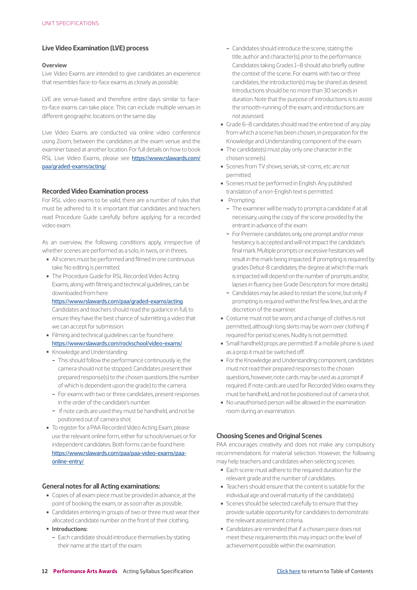#### **Live Video Examination (LVE) process**

#### **Overview**

Live Video Exams are intended to give candidates an experience that resembles face-to-face exams as closely as possible.

LVE are venue-based and therefore entire days similar to faceto-face exams can take place. This can include multiple venues in different geographic locations on the same day.

Live Video Exams are conducted via online video conference using Zoom, between the candidates at the exam venue and the examiner based at another location. For full details on how to book RSL Live Video Exams, please see [https://www.rslawards.com/](https://www.rslawards.com/paa/graded-exams/acting/ ) [paa/graded-exams/acting/](https://www.rslawards.com/paa/graded-exams/acting/ )

#### **Recorded Video Examination process**

For RSL video exams to be valid, there are a number of rules that must be adhered to. It is important that candidates and teachers read Procedure Guide carefully before applying for a recorded video exam.

As an overview, the following conditions apply, irrespective of whether scenes are performed as a solo, in twos, or in threes.

- All scenes must be performed and filmed in one continuous take. No editing is permitted.
- The Procedure Guide for RSL Recorded Video Acting Exams, along with filming and technical guidelines, can be downloaded from here:

<https://www.rslawards.com/paa/graded-exams/acting>

Candidates and teachers should read the guidance in full, to ensure they have the best chance of submitting a video that we can accept for submission.

- Filming and technical guidelines can be found here: [https://www.rslawards.com/rockschool/video-exams/](https://www.rslawards.com/rockschool/video-exams/ )
- Knowledge and Understanding:
	- This should follow the performance continuously ie, the camera should not be stopped. Candidates present their prepared response(s) to the chosen questions (the number of which is dependent upon the grade) to the camera.
	- For exams with two or three candidates, present responses in the order of the candidate's number.
	- If note cards are used they must be handheld, and not be positioned out of camera shot.
- To register for a PAA Recorded Video Acting Exam, please use the relevant online form, either for schools/venues or for independent candidates. Both forms can be found here: [https://www.rslawards.com/paa/paa-video-exams/paa](https://www.rslawards.com/paa/paa-video-exams/paa-online-entry/)[online-entry/](https://www.rslawards.com/paa/paa-video-exams/paa-online-entry/)

#### **General notes for all Acting examinations:**

- Copies of all exam piece must be provided in advance, at the point of booking the exam, or as soon after as possible.
- Candidates entering in groups of two or three must wear their allocated candidate number on the front of their clothing.
- ▬ **Introductions:**
- Each candidate should introduce themselves by stating their name at the start of the exam.
- Candidates should introduce the scene, stating the title, author and character(s), prior to the performance. Candidates taking Grades 1–8 should also briefly outline the context of the scene. For exams with two or three candidates, the introduction(s) may be shared as desired. Introductions should be no more than 30 seconds in duration. Note that the purpose of introductions is to assist the smooth-running of the exam, and introductions are not assessed.
- Grade 6-8 candidates should read the entire text of any play from which a scene has been chosen, in preparation for the Knowledge and Understanding component of the exam.
- The candidate(s) must play only one character in the chosen scene(s).
- Scenes from TV shows, serials, sit-coms, etc are not permitted.
- Scenes must be performed in English. Any published translation of a non-English text is permitted.
- Prompting:
- The examiner will be ready to prompt a candidate if at all necessary, using the copy of the scene provided by the entrant in advance of the exam.
- For Premiere candidates only, one prompt and/or minor hesitancy is accepted and will not impact the candidate's final mark. Multiple prompts or excessive hesitancies will result in the mark being impacted. If prompting is required by grades Debut-8 candidates, the degree at which the mark is impacted will depend on the number of prompts and/or, lapses in fluency (see Grade Descriptors for more details).
- Candidates may be asked to restart the scene, but only if prompting is required within the first few lines, and at the discretion of the examiner.
- Costume must not be worn, and a change of clothes is not permitted, although long skirts may be worn over clothing if required for period scenes. Nudity is not permitted.
- Small handheld props are permitted. If a mobile phone is used as a prop it must be switched off.
- For the Knowledge and Understanding component, candidates must not read their prepared responses to the chosen questions, however, note cards may be used as a prompt if required. If note cards are used for Recorded Video exams they must be handheld, and not be positioned out of camera shot.
- No unauthorised person will be allowed in the examination room during an examination.

#### **Choosing Scenes and Original Scenes**

PAA encourages creativity and does not make any compulsory recommendations for material selection. However, the following may help teachers and candidates when selecting scenes:

- Each scene must adhere to the required duration for the relevant grade and the number of candidates.
- ▬ Teachers should ensure that the content is suitable for the individual age and overall maturity of the candidate(s).
- Scenes should be selected carefully to ensure that they provide suitable opportunity for candidates to demonstrate the relevant assessment criteria.
- Candidates are reminded that if a chosen piece does not meet these requirements this may impact on the level of achievement possible within the examination.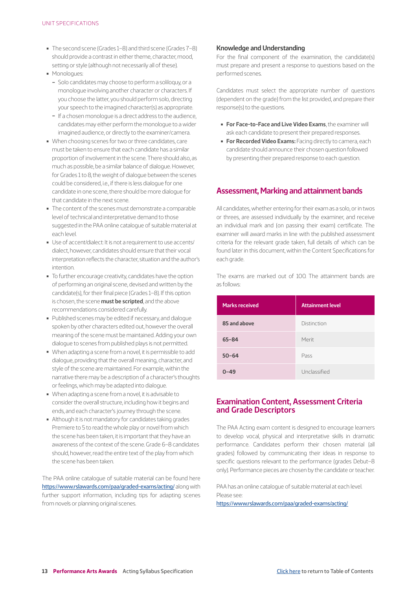- <span id="page-12-0"></span>■ The second scene (Grades 1–8) and third scene (Grades 7–8) should provide a contrast in either theme, character, mood, setting or style (although not necessarily all of these).
- Monologues:
	- Solo candidates may choose to perform a soliloquy, or a monologue involving another character or characters. If you choose the latter, you should perform solo, directing your speech to the imagined character(s) as appropriate.
	- If a chosen monologue is a direct address to the audience, candidates may either perform the monologue to a wider imagined audience, or directly to the examiner/camera.
- When choosing scenes for two or three candidates, care must be taken to ensure that each candidate has a similar proportion of involvement in the scene. There should also, as much as possible, be a similar balance of dialogue. However, for Grades 1 to 8, the weight of dialogue between the scenes could be considered, i.e., if there is less dialogue for one candidate in one scene, there should be more dialogue for that candidate in the next scene.
- The content of the scenes must demonstrate a comparable level of technical and interpretative demand to those suggested in the PAA online catalogue of suitable material at each level.
- Use of accent/dialect: It is not a requirement to use accents/ dialect, however, candidates should ensure that their vocal interpretation reflects the character, situation and the author's intention.
- To further encourage creativity, candidates have the option of performing an original scene, devised and written by the candidate(s), for their final piece (Grades 1–8). If this option is chosen, the scene **must be scripted**, and the above recommendations considered carefully.
- Published scenes may be edited if necessary, and dialogue spoken by other characters edited out, however the overall meaning of the scene must be maintained. Adding your own dialogue to scenes from published plays is not permitted.
- When adapting a scene from a novel, it is permissible to add dialogue, providing that the overall meaning, character, and style of the scene are maintained. For example, within the narrative there may be a description of a character's thoughts or feelings, which may be adapted into dialogue.
- When adapting a scene from a novel, it is advisable to consider the overall structure, including how it begins and ends, and each character's journey through the scene.
- Although it is not mandatory for candidates taking grades Premiere to 5 to read the whole play or novel from which the scene has been taken, it is important that they have an awareness of the context of the scene. Grade 6–8 candidates should, however, read the entire text of the play from which the scene has been taken.

The PAA online catalogue of suitable material can be found here <https://www.rslawards.com/paa/graded-exams/acting/> along with further support information, including tips for adapting scenes from novels or planning original scenes.

#### **Knowledge and Understanding**

For the final component of the examination, the candidate(s) must prepare and present a response to questions based on the performed scenes.

Candidates must select the appropriate number of questions (dependent on the grade) from the list provided, and prepare their response(s) to the questions.

- **For Face-to-Face and Live Video Exams**, the examiner will ask each candidate to present their prepared responses.
- ▬ **For Recorded Video Exams:** Facing directly to camera, each candidate should announce their chosen question followed by presenting their prepared response to each question.

## **Assessment, Marking and attainment bands**

All candidates, whether entering for their exam as a solo, or in twos or threes, are assessed individually by the examiner, and receive an individual mark and (on passing their exam) certificate. The examiner will award marks in line with the published assessment criteria for the relevant grade taken, full details of which can be found later in this document, within the Content Specifications for each grade.

The exams are marked out of 100. The attainment bands are as follows:

| <b>Marks received</b> | <b>Attainment level</b> |
|-----------------------|-------------------------|
| 85 and above          | Distinction             |
| $65 - 84$             | Merit                   |
| $50 - 64$             | Pass                    |
| $0 - 49$              | Unclassified            |

## **Examination Content, Assessment Criteria and Grade Descriptors**

The PAA Acting exam content is designed to encourage learners to develop vocal, physical and interpretative skills in dramatic performance. Candidates perform their chosen material (all grades) followed by communicating their ideas in response to specific questions relevant to the performance (grades Debut–8 only). Performance pieces are chosen by the candidate or teacher.

PAA has an online catalogue of suitable material at each level. Please see:

<https://www.rslawards.com/paa/graded-exams/acting/>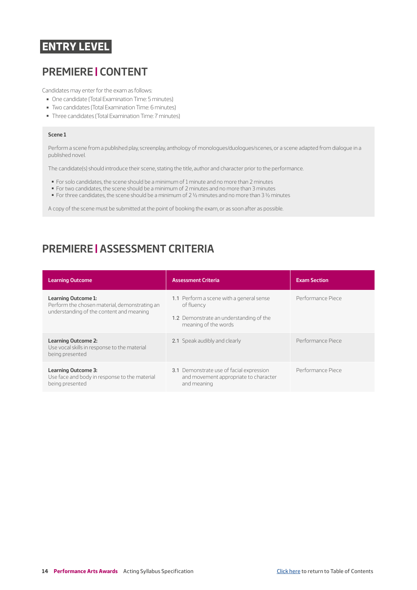# <span id="page-13-0"></span>**ENTRY LEVEL**

# **PREMIERE | CONTENT**

Candidates may enter for the exam as follows:

- ▬ One candidate (Total Examination Time: 5 minutes)
- ▬ Two candidates (Total Examination Time: 6 minutes)
- Three candidates (Total Examination Time: 7 minutes)

#### **Scene 1**

Perform a scene from a published play, screenplay, anthology of monologues/duologues/scenes, or a scene adapted from dialogue in a published novel.

The candidate(s) should introduce their scene, stating the title, author and character prior to the performance.

- For solo candidates, the scene should be a minimum of 1 minute and no more than 2 minutes
- For two candidates, the scene should be a minimum of 2 minutes and no more than 3 minutes
- For three candidates, the scene should be a minimum of 2 ½ minutes and no more than 3 ½ minutes

A copy of the scene must be submitted at the point of booking the exam, or as soon after as possible.

# **PREMIERE | ASSESSMENT CRITERIA**

| <b>Learning Outcome</b>                                                                                          | <b>Assessment Criteria</b>                                                                                                | <b>Exam Section</b> |
|------------------------------------------------------------------------------------------------------------------|---------------------------------------------------------------------------------------------------------------------------|---------------------|
| Learning Outcome 1:<br>Perform the chosen material, demonstrating an<br>understanding of the content and meaning | 1.1 Perform a scene with a general sense<br>of fluency<br>1.2 Demonstrate an understanding of the<br>meaning of the words | Performance Piece   |
| <b>Learning Outcome 2:</b><br>Use vocal skills in response to the material<br>being presented                    | 2.1 Speak audibly and clearly                                                                                             | Performance Piece   |
| <b>Learning Outcome 3:</b><br>Use face and body in response to the material<br>being presented                   | 3.1 Demonstrate use of facial expression<br>and movement appropriate to character<br>and meaning                          | Performance Piece   |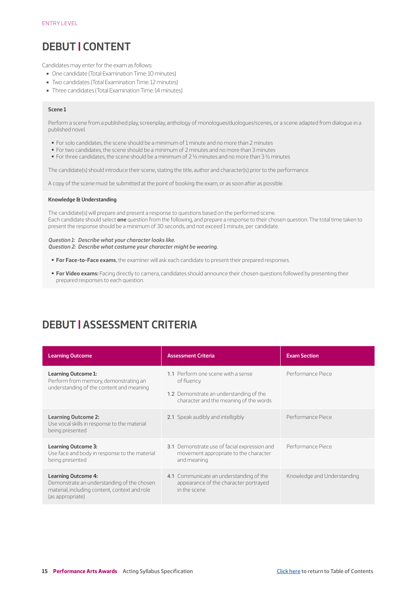# <span id="page-14-0"></span>**DEBUT | CONTENT**

Candidates may enter for the exam as follows:

- One candidate (Total Examination Time: 10 minutes)
- Two candidates (Total Examination Time: 12 minutes)
- Three candidates (Total Examination Time: 14 minutes)

#### **Scene 1**

Perform a scene from a published play, screenplay, anthology of monologues/duologues/scenes, or a scene adapted from dialogue in a published novel.

- For solo candidates, the scene should be a minimum of 1 minute and no more than 2 minutes
- For two candidates, the scene should be a minimum of 2 minutes and no more than 3 minutes
- $\blacksquare$  For three candidates, the scene should be a minimum of 2 ½ minutes and no more than 3 ½ minutes

The candidate(s) should introduce their scene, stating the title, author and character(s) prior to the performance.

A copy of the scene must be submitted at the point of booking the exam, or as soon after as possible.

#### **Knowledge & Understanding**

The candidate(s) will prepare and present a response to questions based on the performed scene. Each candidate should select **one** question from the following, and prepare a response to their chosen question. The total time taken to present the response should be a minimum of 30 seconds, and not exceed 1 minute, per candidate.

#### *Question 1: Describe what your character looks like.*

*Question 2: Describe what costume your character might be wearing.*

- ▬ **For Face-to-Face exams**, the examiner will ask each candidate to present their prepared responses.
- ▬ **For Video exams:** Facing directly to camera, candidates should announce their chosen questions followed by presenting their prepared responses to each question.

# **DEBUT | ASSESSMENT CRITERIA**

| <b>Learning Outcome</b>                                                                                                                       | <b>Assessment Criteria</b>                                                                                                             | <b>Exam Section</b>         |
|-----------------------------------------------------------------------------------------------------------------------------------------------|----------------------------------------------------------------------------------------------------------------------------------------|-----------------------------|
| Learning Outcome 1:<br>Perform from memory, demonstrating an<br>understanding of the content and meaning                                      | 1.1 Perform one scene with a sense<br>of fluency.<br>1.2 Demonstrate an understanding of the<br>character and the meaning of the words | Performance Piece           |
| <b>Learning Outcome 2:</b><br>Use vocal skills in response to the material<br>being presented                                                 | 2.1 Speak audibly and intelligibly                                                                                                     | Performance Piece           |
| <b>Learning Outcome 3:</b><br>Use face and body in response to the material<br>being presented                                                | 3.1 Demonstrate use of facial expression and<br>movement appropriate to the character<br>and meaning                                   | Performance Piece           |
| <b>Learning Outcome 4:</b><br>Demonstrate an understanding of the chosen<br>material, including content, context and role<br>(as appropriate) | 4.1 Communicate an understanding of the<br>appearance of the character portrayed<br>in the scene                                       | Knowledge and Understanding |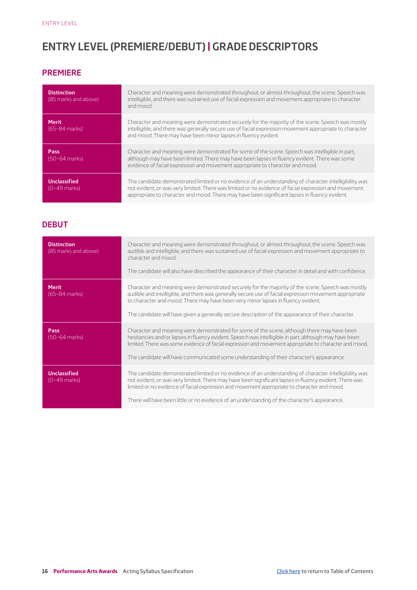# <span id="page-15-0"></span>**ENTRY LEVEL (PREMIERE/DEBUT) | GRADE DESCRIPTORS**

## **PREMIERE**

| <b>Distinction</b><br>(85 marks and above) | Character and meaning were demonstrated throughout, or almost throughout, the scene. Speech was<br>intelligible, and there was sustained use of facial expression and movement appropriate to character<br>and mood.                                                                                             |
|--------------------------------------------|------------------------------------------------------------------------------------------------------------------------------------------------------------------------------------------------------------------------------------------------------------------------------------------------------------------|
| <b>Merit</b><br>$(65-84$ marks)            | Character and meaning were demonstrated securely for the majority of the scene. Speech was mostly<br>intelligible, and there was generally secure use of facial expression movement appropriate to character<br>and mood. There may have been minor lapses in fluency evident.                                   |
| Pass<br>(50-64 marks)                      | Character and meaning were demonstrated for some of the scene. Speech was intelligible in part,<br>although may have been limited. There may have been lapses in fluency evident. There was some<br>evidence of facial expression and movement appropriate to character and mood.                                |
| Unclassified<br>$[0-49$ marks)             | The candidate demonstrated limited or no evidence of an understanding of character. Intelligibility was<br>not evident, or was very limited. There was limited or no evidence of facial expression and movement<br>appropriate to character and mood. There may have been significant lapses in fluency evident. |

## **DEBUT**

| <b>Distinction</b><br>(85 marks and above) | Character and meaning were demonstrated throughout, or almost throughout, the scene. Speech was<br>audible and intelligible, and there was sustained use of facial expression and movement appropriate to<br>character and mood.<br>The candidate will also have described the appearance of their character in detail and with confidence.                                                                       |
|--------------------------------------------|-------------------------------------------------------------------------------------------------------------------------------------------------------------------------------------------------------------------------------------------------------------------------------------------------------------------------------------------------------------------------------------------------------------------|
| <b>Merit</b><br>$(65-84$ marks)            | Character and meaning were demonstrated securely for the majority of the scene. Speech was mostly<br>audible and intelligible, and there was generally secure use of facial expression movement appropriate<br>to character and mood. There may have been very minor lapses in fluency evident.<br>The candidate will have given a generally secure description of the appearance of their character.             |
| Pass<br>$(50-64$ marks)                    | Character and meaning were demonstrated for some of the scene, although there may have been<br>hesitancies and/or lapses in fluency evident. Speech was intelligible in part, although may have been<br>limited. There was some evidence of facial expression and movement appropriate to character and mood.<br>The candidate will have communicated some understanding of their character's appearance.         |
| <b>Unclassified</b><br>$(0-49$ marks)      | The candidate demonstrated limited or no evidence of an understanding of character. Intelligibility was<br>not evident, or was very limited. There may have been significant lapses in fluency evident. There was<br>limited or no evidence of facial expression and movement appropriate to character and mood.<br>There will have been little or no evidence of an understanding of the character's appearance. |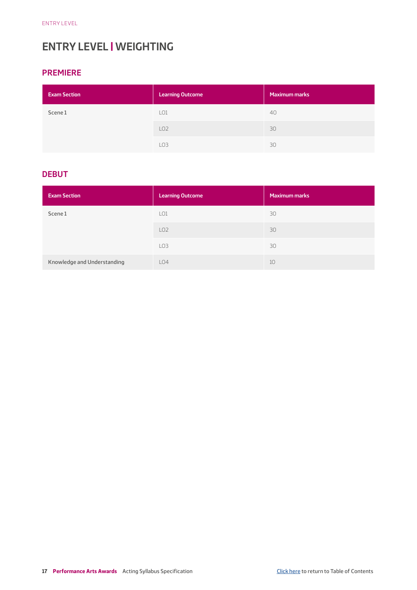# <span id="page-16-0"></span>**ENTRY LEVEL | WEIGHTING**

## **PREMIERE**

| <b>Exam Section</b> | <b>Learning Outcome</b> | Maximum marks |
|---------------------|-------------------------|---------------|
| Scene 1             | LO <sub>1</sub>         | 40            |
|                     | LO <sub>2</sub>         | 30            |
|                     | LO <sub>3</sub>         | 30            |

## **DEBUT**

| <b>Exam Section</b>         | <b>Learning Outcome</b> | <b>Maximum marks</b> |
|-----------------------------|-------------------------|----------------------|
| Scene 1                     | LO1                     | 30                   |
|                             | LO2                     | 30                   |
|                             | LO <sub>3</sub>         | 30                   |
| Knowledge and Understanding | LO4                     | 10                   |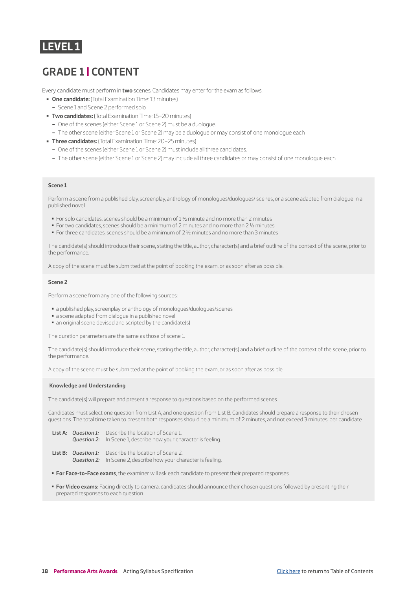## <span id="page-17-0"></span>**LEVEL 1**

# **GRADE 1 | CONTENT**

Every candidate must perform in **two** scenes. Candidates may enter for the exam as follows:

- ▬ **One candidate:** (Total Examination Time: 13 minutes)
- Scene 1 and Scene 2 performed solo
- ▬ **Two candidates:** (Total Examination Time: 15–20 minutes)
	- One of the scenes (either Scene 1 or Scene 2) must be a duologue.
	- The other scene (either Scene 1 or Scene 2) may be a duologue or may consist of one monologue each
- ▬ **Three candidates:** (Total Examination Time: 20–25 minutes)
	- One of the scenes (either Scene 1 or Scene 2) must include all three candidates.
	- The other scene (either Scene 1 or Scene 2) may include all three candidates or may consist of one monologue each

#### **Scene 1**

Perform a scene from a published play, screenplay, anthology of monologues/duologues/ scenes, or a scene adapted from dialogue in a published novel.

- For solo candidates, scenes should be a minimum of 1 1/2 minute and no more than 2 minutes
- For two candidates, scenes should be a minimum of 2 minutes and no more than 2 1/2 minutes
- For three candidates, scenes should be a minimum of 2 ½ minutes and no more than 3 minutes

The candidate(s) should introduce their scene, stating the title, author, character(s) and a brief outline of the context of the scene, prior to the performance.

A copy of the scene must be submitted at the point of booking the exam, or as soon after as possible.

#### **Scene 2**

Perform a scene from any one of the following sources:

- a published play, screenplay or anthology of monologues/duologues/scenes
- a scene adapted from dialogue in a published novel
- an original scene devised and scripted by the candidate(s)

The duration parameters are the same as those of scene 1.

The candidate(s) should introduce their scene, stating the title, author, character(s) and a brief outline of the context of the scene, prior to the performance.

A copy of the scene must be submitted at the point of booking the exam, or as soon after as possible.

#### **Knowledge and Understanding**

The candidate(s) will prepare and present a response to questions based on the performed scenes.

Candidates must select one question from List A, and one question from List B. Candidates should prepare a response to their chosen questions. The total time taken to present both responses should be a minimum of 2 minutes, and not exceed 3 minutes, per candidate.

- **List A:** *Question 1:* Describe the location of Scene 1. *Question 2:* In Scene 1, describe how your character is feeling.
- **List B:** *Question 1:* Describe the location of Scene 2. *Question 2:* In Scene 2, describe how your character is feeling.
- ▬ **For Face-to-Face exams**, the examiner will ask each candidate to present their prepared responses.
- ▬ **For Video exams:** Facing directly to camera, candidates should announce their chosen questions followed by presenting their prepared responses to each question.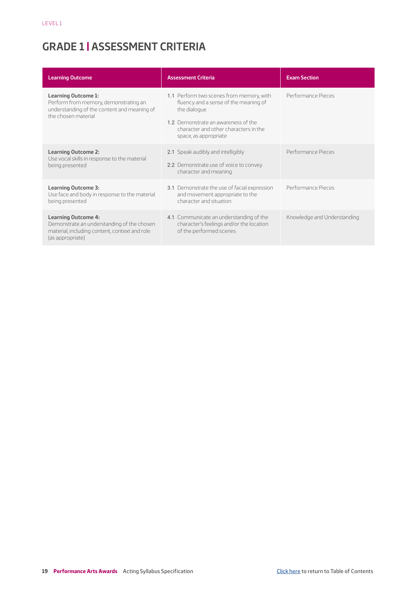# <span id="page-18-0"></span>**GRADE 1 | ASSESSMENT CRITERIA**

| <b>Learning Outcome</b>                                                                                                                       | <b>Assessment Criteria</b>                                                                                                                                                                                 | <b>Exam Section</b>         |
|-----------------------------------------------------------------------------------------------------------------------------------------------|------------------------------------------------------------------------------------------------------------------------------------------------------------------------------------------------------------|-----------------------------|
| <b>Learning Outcome 1:</b><br>Perform from memory, demonstrating an<br>understanding of the content and meaning of<br>the chosen material     | 1.1 Perform two scenes from memory, with<br>fluency and a sense of the meaning of<br>the dialogue<br>1.2 Demonstrate an awareness of the<br>character and other characters in the<br>space, as appropriate | Performance Pieces          |
| <b>Learning Outcome 2:</b><br>Use vocal skills in response to the material<br>being presented                                                 | 2.1 Speak audibly and intelligibly<br>2.2 Demonstrate use of voice to convey<br>character and meaning                                                                                                      | Performance Pieces          |
| <b>Learning Outcome 3:</b><br>Use face and body in response to the material<br>being presented                                                | 3.1 Demonstrate the use of facial expression<br>and movement appropriate to the<br>character and situation                                                                                                 | Performance Pieces          |
| <b>Learning Outcome 4:</b><br>Demonstrate an understanding of the chosen<br>material, including content, context and role<br>(as appropriate) | 4.1 Communicate an understanding of the<br>character's feelings and/or the location<br>of the performed scenes                                                                                             | Knowledge and Understanding |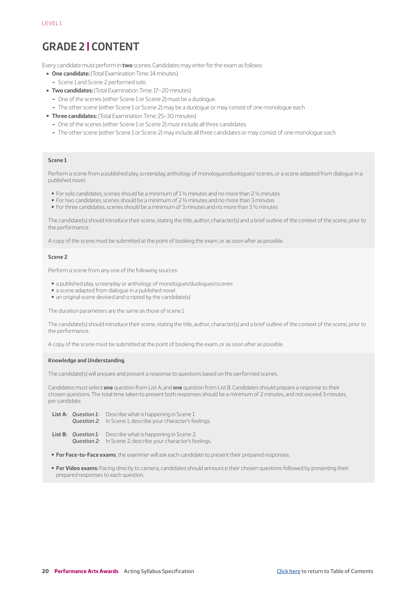# <span id="page-19-0"></span>**GRADE 2 | CONTENT**

Every candidate must perform in **two** scenes. Candidates may enter for the exam as follows:

- ▬ **One candidate:** (Total Examination Time: 14 minutes)
- Scene 1 and Scene 2 performed solo
- **Two candidates:** (Total Examination Time: 17-20 minutes)
	- One of the scenes (either Scene 1 or Scene 2) must be a duologue.
	- The other scene (either Scene 1 or Scene 2) may be a duologue or may consist of one monologue each
- ▬ **Three candidates:** (Total Examination Time: 25–30 minutes)
	- One of the scenes (either Scene 1 or Scene 2) must include all three candidates.
	- The other scene (either Scene 1 or Scene 2) may include all three candidates or may consist of one monologue each

#### **Scene 1**

Perform a scene from a published play, screenplay, anthology of monologues/duologues/ scenes, or a scene adapted from dialogue in a published novel.

- For solo candidates, scenes should be a minimum of 1 ½ minutes and no more than 2 ½ minutes
- For two candidates, scenes should be a minimum of 2 ½ minutes and no more than 3 minutes
- For three candidates, scenes should be a minimum of 3 minutes and no more than 3 ½ minutes

The candidate(s) should introduce their scene, stating the title, author, character(s) and a brief outline of the context of the scene, prior to the performance.

A copy of the scene must be submitted at the point of booking the exam, or as soon after as possible.

#### **Scene 2**

Perform a scene from any one of the following sources:

- a published play, screenplay or anthology of monologues/duologues/scenes
- a scene adapted from dialogue in a published novel
- an original scene devised and scripted by the candidate(s)

The duration parameters are the same as those of scene 1.

The candidate(s) should introduce their scene, stating the title, author, character(s) and a brief outline of the context of the scene, prior to the performance.

A copy of the scene must be submitted at the point of booking the exam, or as soon after as possible.

#### **Knowledge and Understanding**

The candidate(s) will prepare and present a response to questions based on the performed scenes.

Candidates must select **one** question from List A, and **one** question from List B. Candidates should prepare a response to their chosen questions. The total time taken to present both responses should be a minimum of 2 minutes, and not exceed 3 minutes, per candidate.

- **List A:** *Question 1:* Describe what is happening in Scene 1. *Question 2:* In Scene 1, describe your character's feelings.
- **List B:** *Question 1:* Describe what is happening in Scene 2. *Question 2:* In Scene 2, describe your character's feelings.
- **For Face-to-Face exams**, the examiner will ask each candidate to present their prepared responses.
- ▬ **For Video exams:** Facing directly to camera, candidates should announce their chosen questions followed by presenting their prepared responses to each question.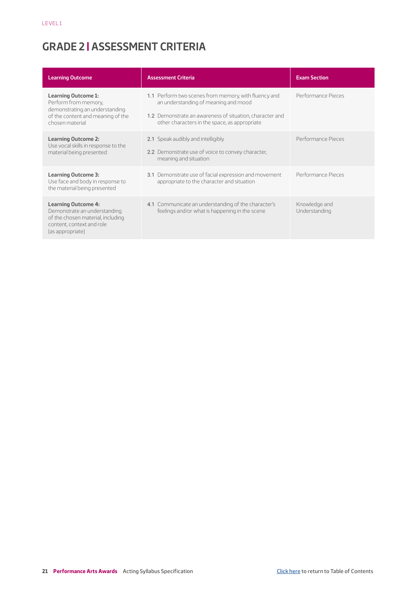# <span id="page-20-0"></span>**GRADE 2 | ASSESSMENT CRITERIA**

| <b>Learning Outcome</b>                                                                                                                          | <b>Assessment Criteria</b>                                                                                                                                                                                | <b>Exam Section</b>            |
|--------------------------------------------------------------------------------------------------------------------------------------------------|-----------------------------------------------------------------------------------------------------------------------------------------------------------------------------------------------------------|--------------------------------|
| <b>Learning Outcome 1:</b><br>Perform from memory,<br>demonstrating an understanding<br>of the content and meaning of the<br>chosen material     | 1.1 Perform two scenes from memory, with fluency and<br>an understanding of meaning and mood<br>1.2 Demonstrate an awareness of situation, character and<br>other characters in the space, as appropriate | Performance Pieces             |
| <b>Learning Outcome 2:</b><br>Use vocal skills in response to the<br>material being presented                                                    | 2.1 Speak audibly and intelligibly<br>2.2 Demonstrate use of voice to convey character,<br>meaning and situation                                                                                          | Performance Pieces             |
| <b>Learning Outcome 3:</b><br>Use face and body in response to<br>the material being presented                                                   | 3.1 Demonstrate use of facial expression and movement<br>appropriate to the character and situation                                                                                                       | Performance Pieces             |
| <b>Learning Outcome 4:</b><br>Demonstrate an understanding<br>of the chosen material, including<br>content, context and role<br>(as appropriate) | 4.1 Communicate an understanding of the character's<br>feelings and/or what is happening in the scene                                                                                                     | Knowledge and<br>Understanding |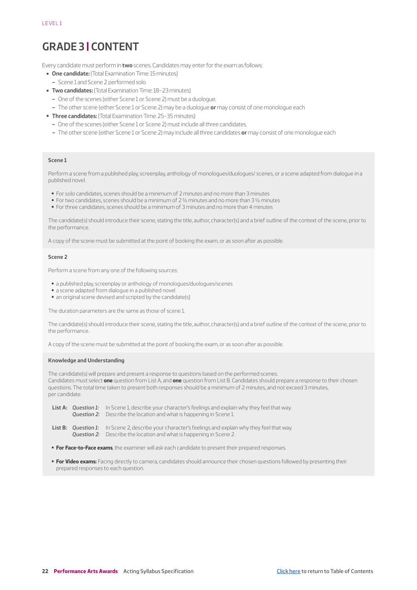# <span id="page-21-0"></span>**GRADE 3 | CONTENT**

Every candidate must perform in **two** scenes. Candidates may enter for the exam as follows:

- ▬ **One candidate:** (Total Examination Time: 15 minutes)
- Scene 1 and Scene 2 performed solo
- **Two candidates:** (Total Examination Time: 18–23 minutes)
	- One of the scenes (either Scene 1 or Scene 2) must be a duologue.
	- The other scene (either Scene 1 or Scene 2) may be a duologue **or** may consist of one monologue each
- ▬ **Three candidates:** (Total Examination Time: 25–35 minutes)
	- One of the scenes (either Scene 1 or Scene 2) must include all three candidates.
	- The other scene (either Scene 1 or Scene 2) may include all three candidates **or** may consist of one monologue each

#### **Scene 1**

Perform a scene from a published play, screenplay, anthology of monologues/duologues/ scenes, or a scene adapted from dialogue in a published novel.

- For solo candidates, scenes should be a minimum of 2 minutes and no more than 3 minutes
- For two candidates, scenes should be a minimum of 2 ½ minutes and no more than 3 ½ minutes
- For three candidates, scenes should be a minimum of 3 minutes and no more than 4 minutes

The candidate(s) should introduce their scene, stating the title, author, character(s) and a brief outline of the context of the scene, prior to the performance.

A copy of the scene must be submitted at the point of booking the exam, or as soon after as possible.

#### **Scene 2**

Perform a scene from any one of the following sources:

- a published play, screenplay or anthology of monologues/duologues/scenes
- a scene adapted from dialogue in a published novel
- an original scene devised and scripted by the candidate(s)

The duration parameters are the same as those of scene 1.

The candidate(s) should introduce their scene, stating the title, author, character(s) and a brief outline of the context of the scene, prior to the performance.

A copy of the scene must be submitted at the point of booking the exam, or as soon after as possible.

#### **Knowledge and Understanding**

The candidate(s) will prepare and present a response to questions based on the performed scenes. Candidates must select **one** question from List A, and **one** question from List B. Candidates should prepare a response to their chosen questions. The total time taken to present both responses should be a minimum of 2 minutes, and not exceed 3 minutes, per candidate.

|  | <b>List A:</b> Question 1: In Scene 1, describe your character's feelings and explain why they feel that way. |
|--|---------------------------------------------------------------------------------------------------------------|
|  | <b>Question 2:</b> Describe the location and what is happening in Scene 1.                                    |

- List B: Question 1: In Scene 2, describe your character's feelings and explain why they feel that way. *Question 2:* Describe the location and what is happening in Scene 2.
- **For Face-to-Face exams**, the examiner will ask each candidate to present their prepared responses.
- **For Video exams:** Facing directly to camera, candidates should announce their chosen questions followed by presenting their prepared responses to each question.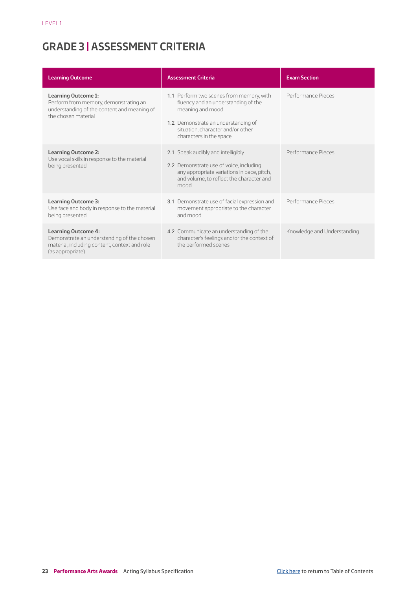# <span id="page-22-0"></span>**GRADE 3 | ASSESSMENT CRITERIA**

| <b>Learning Outcome</b>                                                                                                                       | <b>Assessment Criteria</b>                                                                                                                                                                                 | <b>Exam Section</b>         |
|-----------------------------------------------------------------------------------------------------------------------------------------------|------------------------------------------------------------------------------------------------------------------------------------------------------------------------------------------------------------|-----------------------------|
| <b>Learning Outcome 1:</b><br>Perform from memory, demonstrating an<br>understanding of the content and meaning of<br>the chosen material     | 1.1 Perform two scenes from memory, with<br>fluency and an understanding of the<br>meaning and mood<br>1.2 Demonstrate an understanding of<br>situation, character and/or other<br>characters in the space | Performance Pieces          |
| <b>Learning Outcome 2:</b><br>Use vocal skills in response to the material<br>being presented                                                 | 2.1 Speak audibly and intelligibly<br>2.2 Demonstrate use of voice, including<br>any appropriate variations in pace, pitch,<br>and volume, to reflect the character and<br>mood                            | Performance Pieces          |
| <b>Learning Outcome 3:</b><br>Use face and body in response to the material<br>being presented                                                | 3.1 Demonstrate use of facial expression and<br>movement appropriate to the character<br>and mood                                                                                                          | Performance Pieces          |
| <b>Learning Outcome 4:</b><br>Demonstrate an understanding of the chosen<br>material, including content, context and role<br>(as appropriate) | 4.2 Communicate an understanding of the<br>character's feelings and/or the context of<br>the performed scenes                                                                                              | Knowledge and Understanding |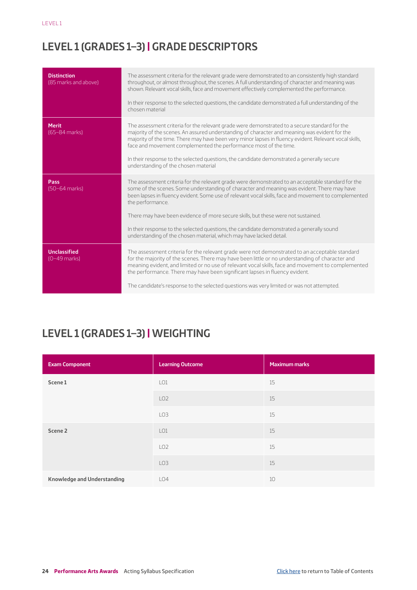# <span id="page-23-0"></span>**LEVEL 1 (GRADES 1–3) | GRADE DESCRIPTORS**

| <b>Distinction</b><br>(85 marks and above) | The assessment criteria for the relevant grade were demonstrated to an consistently high standard<br>throughout, or almost throughout, the scenes. A full understanding of character and meaning was<br>shown. Relevant vocal skills, face and movement effectively complemented the performance.<br>In their response to the selected questions, the candidate demonstrated a full understanding of the<br>chosen material                                                                                                                                                            |
|--------------------------------------------|----------------------------------------------------------------------------------------------------------------------------------------------------------------------------------------------------------------------------------------------------------------------------------------------------------------------------------------------------------------------------------------------------------------------------------------------------------------------------------------------------------------------------------------------------------------------------------------|
| <b>Merit</b><br>$(65-84$ marks)            | The assessment criteria for the relevant grade were demonstrated to a secure standard for the<br>majority of the scenes. An assured understanding of character and meaning was evident for the<br>majority of the time. There may have been very minor lapses in fluency evident. Relevant vocal skills,<br>face and movement complemented the performance most of the time.<br>In their response to the selected questions, the candidate demonstrated a generally secure<br>understanding of the chosen material                                                                     |
| Pass<br>$(50-64$ marks)                    | The assessment criteria for the relevant grade were demonstrated to an acceptable standard for the<br>some of the scenes. Some understanding of character and meaning was evident. There may have<br>been lapses in fluency evident. Some use of relevant vocal skills, face and movement to complemented<br>the performance.<br>There may have been evidence of more secure skills, but these were not sustained.<br>In their response to the selected questions, the candidate demonstrated a generally sound<br>understanding of the chosen material, which may have lacked detail. |
| <b>Unclassified</b><br>$(0-49$ marks)      | The assessment criteria for the relevant grade were not demonstrated to an acceptable standard<br>for the majority of the scenes. There may have been little or no understanding of character and<br>meaning evident, and limited or no use of relevant vocal skills, face and movement to complemented<br>the performance. There may have been significant lapses in fluency evident.<br>The candidate's response to the selected questions was very limited or was not attempted.                                                                                                    |
|                                            |                                                                                                                                                                                                                                                                                                                                                                                                                                                                                                                                                                                        |

# **LEVEL 1 (GRADES 1–3) | WEIGHTING**

| <b>Exam Component</b>              | <b>Learning Outcome</b> | <b>Maximum marks</b> |
|------------------------------------|-------------------------|----------------------|
| Scene 1                            | LO <sub>1</sub>         | 15                   |
|                                    | LO <sub>2</sub>         | 15                   |
|                                    | LO <sub>3</sub>         | 15                   |
| Scene 2                            | LO1                     | 15                   |
|                                    | LO <sub>2</sub>         | 15                   |
|                                    | LO <sub>3</sub>         | 15                   |
| <b>Knowledge and Understanding</b> | LO4                     | 10                   |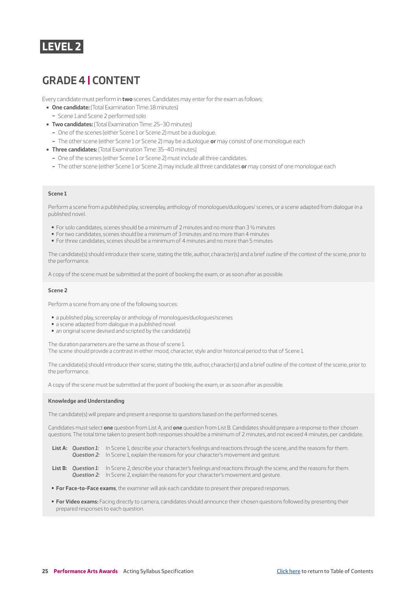## <span id="page-24-0"></span>**LEVEL 2**

# **GRADE 4 | CONTENT**

Every candidate must perform in **two** scenes. Candidates may enter for the exam as follows:

- ▬ **One candidate:** (Total Examination Time: 18 minutes)
	- Scene 1 and Scene 2 performed solo
- ▬ **Two candidates:** (Total Examination Time: 25–30 minutes)
	- One of the scenes (either Scene 1 or Scene 2) must be a duologue.
	- The other scene (either Scene 1 or Scene 2) may be a duologue **or** may consist of one monologue each
- ▬ **Three candidates:** (Total Examination Time: 35–40 minutes)
	- One of the scenes (either Scene 1 or Scene 2) must include all three candidates.
	- The other scene (either Scene 1 or Scene 2) may include all three candidates **or** may consist of one monologue each

#### **Scene 1**

Perform a scene from a published play, screenplay, anthology of monologues/duologues/ scenes, or a scene adapted from dialogue in a published novel.

- For solo candidates, scenes should be a minimum of 2 minutes and no more than 3 ½ minutes
- For two candidates, scenes should be a minimum of 3 minutes and no more than 4 minutes
- For three candidates, scenes should be a minimum of 4 minutes and no more than 5 minutes

The candidate(s) should introduce their scene, stating the title, author, character(s) and a brief outline of the context of the scene, prior to the performance.

A copy of the scene must be submitted at the point of booking the exam, or as soon after as possible.

#### **Scene 2**

Perform a scene from any one of the following sources:

- a published play, screenplay or anthology of monologues/duologues/scenes
- a scene adapted from dialogue in a published novel
- an original scene devised and scripted by the candidate(s)

The duration parameters are the same as those of scene 1.

The scene should provide a contrast in either mood, character, style and/or historical period to that of Scene 1.

The candidate(s) should introduce their scene, stating the title, author, character(s) and a brief outline of the context of the scene, prior to the performance.

A copy of the scene must be submitted at the point of booking the exam, or as soon after as possible.

#### **Knowledge and Understanding**

The candidate(s) will prepare and present a response to questions based on the performed scenes.

Candidates must select **one** question from List A, and **one** question from List B. Candidates should prepare a response to their chosen questions. The total time taken to present both responses should be a minimum of 2 minutes, and not exceed 4 minutes, per candidate.

- List A: Question 1: In Scene 1, describe your character's feelings and reactions through the scene, and the reasons for them. *Question 2:* In Scene 1, explain the reasons for your character's movement and gesture.
- **List B:** *Question 1:* In Scene 2, describe your character's feelings and reactions through the scene, and the reasons for them. **Question 2:** In Scene 2, explain the reasons for your character's movement and gesture.
- **For Face-to-Face exams**, the examiner will ask each candidate to present their prepared responses.
- ▬ **For Video exams:** Facing directly to camera, candidates should announce their chosen questions followed by presenting their prepared responses to each question.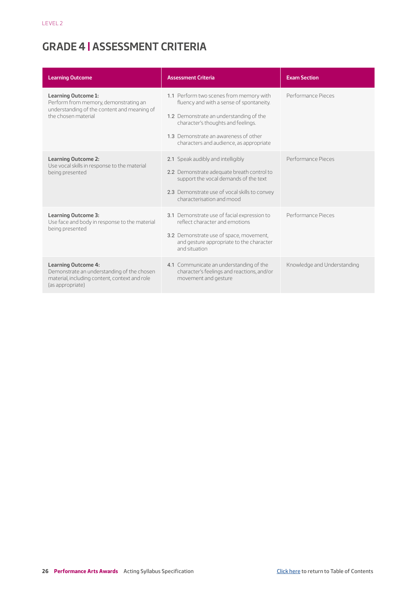# <span id="page-25-0"></span>**GRADE 4 | ASSESSMENT CRITERIA**

| <b>Learning Outcome</b>                                                                                                                       | <b>Assessment Criteria</b>                                                                                                                                                                                                                               | <b>Exam Section</b>         |
|-----------------------------------------------------------------------------------------------------------------------------------------------|----------------------------------------------------------------------------------------------------------------------------------------------------------------------------------------------------------------------------------------------------------|-----------------------------|
| <b>Learning Outcome 1:</b><br>Perform from memory, demonstrating an<br>understanding of the content and meaning of<br>the chosen material     | 1.1 Perform two scenes from memory with<br>fluency and with a sense of spontaneity.<br>1.2 Demonstrate an understanding of the<br>character's thoughts and feelings.<br>1.3 Demonstrate an awareness of other<br>characters and audience, as appropriate | Performance Pieces          |
| <b>Learning Outcome 2:</b><br>Use vocal skills in response to the material<br>being presented                                                 | 2.1 Speak audibly and intelligibly<br>2.2 Demonstrate adequate breath control to<br>support the vocal demands of the text<br>2.3 Demonstrate use of vocal skills to convey<br>characterisation and mood                                                  | Performance Pieces          |
| <b>Learning Outcome 3:</b><br>Use face and body in response to the material<br>being presented                                                | 3.1 Demonstrate use of facial expression to<br>reflect character and emotions<br>3.2 Demonstrate use of space, movement,<br>and gesture appropriate to the character<br>and situation                                                                    | Performance Pieces          |
| <b>Learning Outcome 4:</b><br>Demonstrate an understanding of the chosen<br>material, including content, context and role<br>(as appropriate) | 4.1 Communicate an understanding of the<br>character's feelings and reactions, and/or<br>movement and gesture                                                                                                                                            | Knowledge and Understanding |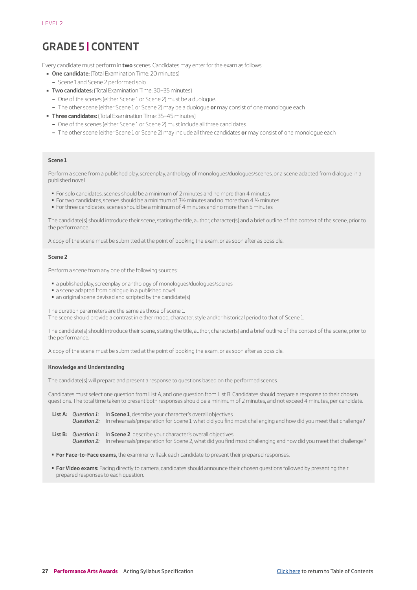# <span id="page-26-0"></span>**GRADE 5 | CONTENT**

Every candidate must perform in **two** scenes. Candidates may enter for the exam as follows:

- ▬ **One candidate:** (Total Examination Time: 20 minutes)
- Scene 1 and Scene 2 performed solo
- **Two candidates:** (Total Examination Time: 30–35 minutes)
	- One of the scenes (either Scene 1 or Scene 2) must be a duologue.
	- The other scene (either Scene 1 or Scene 2) may be a duologue **or** may consist of one monologue each
- ▬ **Three candidates:** (Total Examination Time: 35–45 minutes)
	- One of the scenes (either Scene 1 or Scene 2) must include all three candidates.
	- The other scene (either Scene 1 or Scene 2) may include all three candidates **or** may consist of one monologue each

#### **Scene 1**

Perform a scene from a published play, screenplay, anthology of monologues/duologues/scenes, or a scene adapted from dialogue in a published novel.

- For solo candidates, scenes should be a minimum of 2 minutes and no more than 4 minutes
- For two candidates, scenes should be a minimum of 3½ minutes and no more than 4 ½ minutes
- ▬ For three candidates, scenes should be a minimum of 4 minutes and no more than 5 minutes

The candidate(s) should introduce their scene, stating the title, author, character(s) and a brief outline of the context of the scene, prior to the performance.

A copy of the scene must be submitted at the point of booking the exam, or as soon after as possible.

#### **Scene 2**

Perform a scene from any one of the following sources:

- a published play, screenplay or anthology of monologues/duologues/scenes
- a scene adapted from dialogue in a published novel
- an original scene devised and scripted by the candidate(s)

The duration parameters are the same as those of scene 1. The scene should provide a contrast in either mood, character, style and/or historical period to that of Scene 1.

The candidate(s) should introduce their scene, stating the title, author, character(s) and a brief outline of the context of the scene, prior to the performance.

A copy of the scene must be submitted at the point of booking the exam, or as soon after as possible.

#### **Knowledge and Understanding**

The candidate(s) will prepare and present a response to questions based on the performed scenes.

Candidates must select one question from List A, and one question from List B. Candidates should prepare a response to their chosen questions. The total time taken to present both responses should be a minimum of 2 minutes, and not exceed 4 minutes, per candidate.

- **List A:** Question 1: In **Scene 1**, describe your character's overall objectives. *Question 2:* In rehearsals/preparation for Scene 1, what did you find most challenging and how did you meet that challenge?
- **List B:** *Question 1:* In **Scene 2**, describe your character's overall objectives. *Question 2:* In rehearsals/preparation for Scene 2, what did you find most challenging and how did you meet that challenge?
- **For Face-to-Face exams**, the examiner will ask each candidate to present their prepared responses.
- ▬ **For Video exams:** Facing directly to camera, candidates should announce their chosen questions followed by presenting their prepared responses to each question.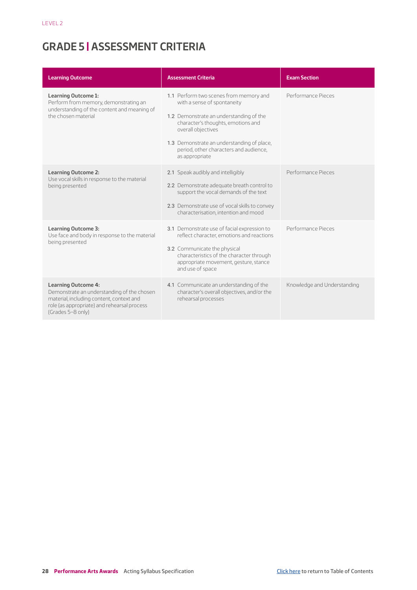# <span id="page-27-0"></span>**GRADE 5 | ASSESSMENT CRITERIA**

| <b>Learning Outcome</b>                                                                                                                                                                  | <b>Assessment Criteria</b>                                                                                                                                                                                                                                                             | <b>Exam Section</b>         |
|------------------------------------------------------------------------------------------------------------------------------------------------------------------------------------------|----------------------------------------------------------------------------------------------------------------------------------------------------------------------------------------------------------------------------------------------------------------------------------------|-----------------------------|
| <b>Learning Outcome 1:</b><br>Perform from memory, demonstrating an<br>understanding of the content and meaning of<br>the chosen material                                                | 1.1 Perform two scenes from memory and<br>with a sense of spontaneity<br>1.2 Demonstrate an understanding of the<br>character's thoughts, emotions and<br>overall objectives<br>1.3 Demonstrate an understanding of place,<br>period, other characters and audience,<br>as appropriate | Performance Pieces          |
| <b>Learning Outcome 2:</b><br>Use vocal skills in response to the material<br>being presented                                                                                            | 2.1 Speak audibly and intelligibly<br>2.2 Demonstrate adequate breath control to<br>support the vocal demands of the text<br>2.3 Demonstrate use of vocal skills to convey<br>characterisation, intention and mood                                                                     | Performance Pieces          |
| <b>Learning Outcome 3:</b><br>Use face and body in response to the material<br>being presented                                                                                           | 3.1 Demonstrate use of facial expression to<br>reflect character, emotions and reactions<br>3.2 Communicate the physical<br>characteristics of the character through<br>appropriate movement, gesture, stance<br>and use of space                                                      | Performance Pieces          |
| <b>Learning Outcome 4:</b><br>Demonstrate an understanding of the chosen<br>material, including content, context and<br>role (as appropriate) and rehearsal process<br>(Grades 5-8 only) | 4.1 Communicate an understanding of the<br>character's overall objectives, and/or the<br>rehearsal processes                                                                                                                                                                           | Knowledge and Understanding |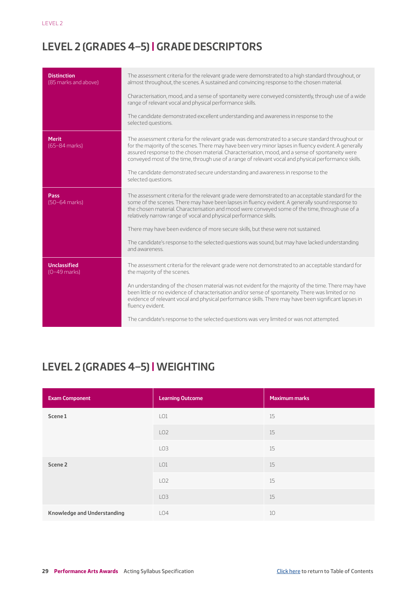# <span id="page-28-0"></span>**LEVEL 2 (GRADES 4–5) | GRADE DESCRIPTORS**

| <b>Distinction</b><br>(85 marks and above) | The assessment criteria for the relevant grade were demonstrated to a high standard throughout, or<br>almost throughout, the scenes. A sustained and convincing response to the chosen material.<br>Characterisation, mood, and a sense of spontaneity were conveyed consistently, through use of a wide<br>range of relevant vocal and physical performance skills.<br>The candidate demonstrated excellent understanding and awareness in response to the<br>selected questions.                                                                                                       |
|--------------------------------------------|------------------------------------------------------------------------------------------------------------------------------------------------------------------------------------------------------------------------------------------------------------------------------------------------------------------------------------------------------------------------------------------------------------------------------------------------------------------------------------------------------------------------------------------------------------------------------------------|
| <b>Merit</b><br>(65-84 marks)              | The assessment criteria for the relevant grade was demonstrated to a secure standard throughout or<br>for the majority of the scenes. There may have been very minor lapses in fluency evident. A generally<br>assured response to the chosen material. Characterisation, mood, and a sense of spontaneity were<br>conveyed most of the time, through use of a range of relevant vocal and physical performance skills.<br>The candidate demonstrated secure understanding and awareness in response to the<br>selected questions.                                                       |
| Pass<br>(50-64 marks)                      | The assessment criteria for the relevant grade were demonstrated to an acceptable standard for the<br>some of the scenes. There may have been lapses in fluency evident. A generally sound response to<br>the chosen material. Characterisation and mood were conveyed some of the time, through use of a<br>relatively narrow range of vocal and physical performance skills.<br>There may have been evidence of more secure skills, but these were not sustained.<br>The candidate's response to the selected questions was sound, but may have lacked understanding<br>and awareness. |
| <b>Unclassified</b><br>$(0-49$ marks)      | The assessment criteria for the relevant grade were not demonstrated to an acceptable standard for<br>the majority of the scenes.<br>An understanding of the chosen material was not evident for the majority of the time. There may have<br>been little or no evidence of characterisation and/or sense of spontaneity. There was limited or no<br>evidence of relevant vocal and physical performance skills. There may have been significant lapses in<br>fluency evident.<br>The candidate's response to the selected questions was very limited or was not attempted.               |

# **LEVEL 2 (GRADES 4–5) | WEIGHTING**

| <b>Exam Component</b>              | <b>Learning Outcome</b> | <b>Maximum marks</b> |
|------------------------------------|-------------------------|----------------------|
| Scene 1                            | LO1                     | 15                   |
|                                    | LO <sub>2</sub>         | 15                   |
|                                    | LO3                     | 15                   |
| Scene 2                            | LO1                     | 15                   |
|                                    | LO <sub>2</sub>         | 15                   |
|                                    | LO <sub>3</sub>         | 15                   |
| <b>Knowledge and Understanding</b> | LO4                     | 10                   |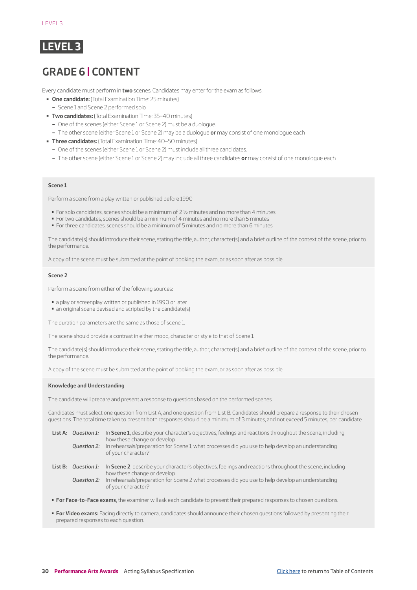<span id="page-29-0"></span>

# **GRADE 6 | CONTENT**

Every candidate must perform in **two** scenes. Candidates may enter for the exam as follows:

- ▬ **One candidate:** (Total Examination Time: 25 minutes)
- Scene 1 and Scene 2 performed solo
- ▬ **Two candidates:** (Total Examination Time: 35–40 minutes)
	- One of the scenes (either Scene 1 or Scene 2) must be a duologue.
	- The other scene (either Scene 1 or Scene 2) may be a duologue **or** may consist of one monologue each
- ▬ **Three candidates:** (Total Examination Time: 40–50 minutes)
	- One of the scenes (either Scene 1 or Scene 2) must include all three candidates.
	- The other scene (either Scene 1 or Scene 2) may include all three candidates **or** may consist of one monologue each

#### **Scene 1**

Perform a scene from a play written or published before 1990

- For solo candidates, scenes should be a minimum of 2 ½ minutes and no more than 4 minutes
- For two candidates, scenes should be a minimum of 4 minutes and no more than 5 minutes
- For three candidates, scenes should be a minimum of 5 minutes and no more than 6 minutes

The candidate(s) should introduce their scene, stating the title, author, character(s) and a brief outline of the context of the scene, prior to the performance.

A copy of the scene must be submitted at the point of booking the exam, or as soon after as possible.

#### **Scene 2**

Perform a scene from either of the following sources:

- a play or screenplay written or published in 1990 or later
- an original scene devised and scripted by the candidate(s)

The duration parameters are the same as those of scene 1.

The scene should provide a contrast in either mood, character or style to that of Scene 1.

The candidate(s) should introduce their scene, stating the title, author, character(s) and a brief outline of the context of the scene, prior to the performance.

A copy of the scene must be submitted at the point of booking the exam, or as soon after as possible.

#### **Knowledge and Understanding**

The candidate will prepare and present a response to questions based on the performed scenes.

Candidates must select one question from List A, and one question from List B. Candidates should prepare a response to their chosen questions. The total time taken to present both responses should be a minimum of 3 minutes, and not exceed 5 minutes, per candidate.

| Ouestion 2:                | List A: Question 1: In Scene 1, describe your character's objectives, feelings and reactions throughout the scene, including<br>how these change or develop<br>In rehearsals/preparation for Scene 1, what processes did you use to help develop an understanding<br>of your character? |
|----------------------------|-----------------------------------------------------------------------------------------------------------------------------------------------------------------------------------------------------------------------------------------------------------------------------------------|
| <b>List B:</b> Ouestion 1: | In Scene 2, describe your character's objectives, feelings and reactions throughout the scene, including<br>how these change or develop                                                                                                                                                 |

*Question 2:* In rehearsals/preparation for Scene 2 what processes did you use to help develop an understanding of your character?

- **For Face-to-Face exams**, the examiner will ask each candidate to present their prepared responses to chosen questions.
- **For Video exams:** Facing directly to camera, candidates should announce their chosen questions followed by presenting their prepared responses to each question.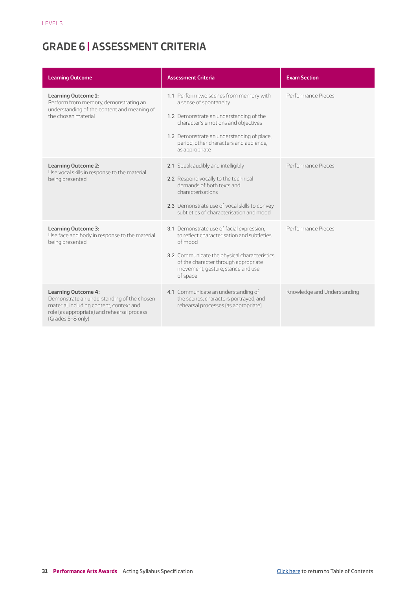# <span id="page-30-0"></span>**GRADE 6 | ASSESSMENT CRITERIA**

| <b>Learning Outcome</b>                                                                                                                                                                  | <b>Assessment Criteria</b>                                                                                                                                                                                                                                    | <b>Exam Section</b>         |
|------------------------------------------------------------------------------------------------------------------------------------------------------------------------------------------|---------------------------------------------------------------------------------------------------------------------------------------------------------------------------------------------------------------------------------------------------------------|-----------------------------|
| <b>Learning Outcome 1:</b><br>Perform from memory, demonstrating an<br>understanding of the content and meaning of<br>the chosen material                                                | 1.1 Perform two scenes from memory with<br>a sense of spontaneity<br>1.2 Demonstrate an understanding of the<br>character's emotions and objectives<br>1.3 Demonstrate an understanding of place,<br>period, other characters and audience,<br>as appropriate | Performance Pieces          |
| <b>Learning Outcome 2:</b><br>Use vocal skills in response to the material<br>being presented                                                                                            | 2.1 Speak audibly and intelligibly<br>2.2 Respond vocally to the technical<br>demands of both texts and<br>characterisations<br>2.3 Demonstrate use of vocal skills to convey<br>subtleties of characterisation and mood                                      | Performance Pieces          |
| <b>Learning Outcome 3:</b><br>Use face and body in response to the material<br>being presented                                                                                           | 3.1 Demonstrate use of facial expression,<br>to reflect characterisation and subtleties<br>of mood<br>3.2 Communicate the physical characteristics<br>of the character through appropriate<br>movement, gesture, stance and use<br>of space                   | Performance Pieces          |
| <b>Learning Outcome 4:</b><br>Demonstrate an understanding of the chosen<br>material, including content, context and<br>role (as appropriate) and rehearsal process<br>(Grades 5-8 only) | 4.1 Communicate an understanding of<br>the scenes, characters portrayed, and<br>rehearsal processes (as appropriate)                                                                                                                                          | Knowledge and Understanding |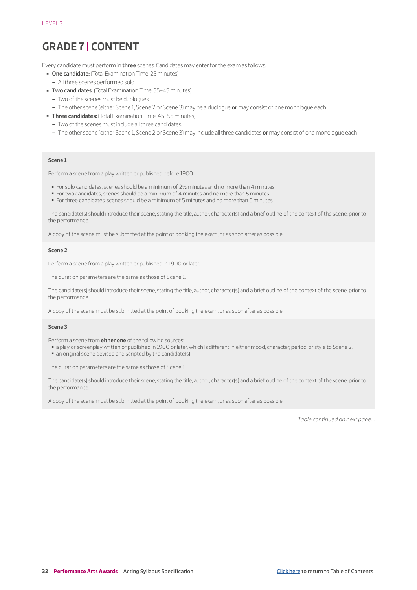# <span id="page-31-0"></span>**GRADE 7 | CONTENT**

Every candidate must perform in **three** scenes. Candidates may enter for the exam as follows:

- ▬ **One candidate:** (Total Examination Time: 25 minutes)
- All three scenes performed solo
- **Two candidates:** (Total Examination Time: 35-45 minutes)
	- Two of the scenes must be duologues.
	- The other scene (either Scene 1, Scene 2 or Scene 3) may be a duologue **or** may consist of one monologue each
- ▬ **Three candidates:** (Total Examination Time: 45–55 minutes)
	- Two of the scenes must include all three candidates.
	- The other scene (either Scene 1, Scene 2 or Scene 3) may include all three candidates **or** may consist of one monologue each

#### **Scene 1**

Perform a scene from a play written or published before 1900.

- For solo candidates, scenes should be a minimum of 2½ minutes and no more than 4 minutes
- For two candidates, scenes should be a minimum of 4 minutes and no more than 5 minutes
- For three candidates, scenes should be a minimum of 5 minutes and no more than 6 minutes

The candidate(s) should introduce their scene, stating the title, author, character(s) and a brief outline of the context of the scene, prior to the performance.

A copy of the scene must be submitted at the point of booking the exam, or as soon after as possible.

#### **Scene 2**

Perform a scene from a play written or published in 1900 or later.

The duration parameters are the same as those of Scene 1.

The candidate(s) should introduce their scene, stating the title, author, character(s) and a brief outline of the context of the scene, prior to the performance.

A copy of the scene must be submitted at the point of booking the exam, or as soon after as possible.

#### **Scene 3**

Perform a scene from **either one** of the following sources:

- a play or screenplay written or published in 1900 or later, which is different in either mood, character, period, or style to Scene 2.
- an original scene devised and scripted by the candidate(s)

The duration parameters are the same as those of Scene 1.

The candidate(s) should introduce their scene, stating the title, author, character(s) and a brief outline of the context of the scene, prior to the performance.

A copy of the scene must be submitted at the point of booking the exam, or as soon after as possible.

*Table continued on next page…*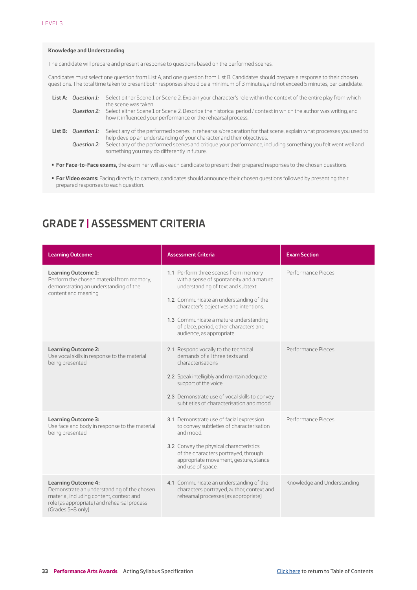#### <span id="page-32-0"></span>**Knowledge and Understanding**

The candidate will prepare and present a response to questions based on the performed scenes.

Candidates must select one question from List A, and one question from List B. Candidates should prepare a response to their chosen questions. The total time taken to present both responses should be a minimum of 3 minutes, and not exceed 5 minutes, per candidate.

|  | List A: Question 1: Select either Scene 1 or Scene 2. Explain your character's role within the context of the entire play from which<br>the scene was taken.                                                  |
|--|---------------------------------------------------------------------------------------------------------------------------------------------------------------------------------------------------------------|
|  | <b>Question 2:</b> Select either Scene 1 or Scene 2. Describe the historical period / context in which the author was writing, and<br>how it influenced your performance or the rehearsal process.            |
|  | List B: Question 1: Select any of the performed scenes. In rehearsals/preparation for that scene, explain what processes you used to<br>help develop an understanding of your character and their objectives. |
|  | <b>Question 2:</b> Select any of the performed scenes and critique your performance, including something you felt went well and<br>something you may do differently in future.                                |
|  |                                                                                                                                                                                                               |

- ▬ **For Face-to-Face exams,** the examiner will ask each candidate to present their prepared responses to the chosen questions.
- ▬ **For Video exams:** Facing directly to camera, candidates should announce their chosen questions followed by presenting their prepared responses to each question.

# **GRADE 7 | ASSESSMENT CRITERIA**

| <b>Learning Outcome</b>                                                                                                                                                                  | <b>Assessment Criteria</b>                                                                                                                                                                                                                                                                                                   | <b>Exam Section</b>         |
|------------------------------------------------------------------------------------------------------------------------------------------------------------------------------------------|------------------------------------------------------------------------------------------------------------------------------------------------------------------------------------------------------------------------------------------------------------------------------------------------------------------------------|-----------------------------|
| <b>Learning Outcome 1:</b><br>Perform the chosen material from memory,<br>demonstrating an understanding of the<br>content and meaning                                                   | 1.1 Perform three scenes from memory<br>with a sense of spontaneity and a mature<br>understanding of text and subtext.<br>1.2 Communicate an understanding of the<br>character's objectives and intentions.<br>1.3 Communicate a mature understanding<br>of place, period, other characters and<br>audience, as appropriate. | Performance Pieces          |
| <b>Learning Outcome 2:</b><br>Use vocal skills in response to the material<br>being presented                                                                                            | 2.1 Respond vocally to the technical<br>demands of all three texts and<br>characterisations<br>2.2 Speak intelligibly and maintain adequate<br>support of the voice<br>2.3 Demonstrate use of vocal skills to convey<br>subtleties of characterisation and mood.                                                             | Performance Pieces          |
| <b>Learning Outcome 3:</b><br>Use face and body in response to the material<br>being presented                                                                                           | 3.1 Demonstrate use of facial expression<br>to convey subtleties of characterisation<br>hoom hns<br>3.2 Convey the physical characteristics<br>of the characters portrayed, through<br>appropriate movement, gesture, stance<br>and use of space.                                                                            | Performance Pieces          |
| <b>Learning Outcome 4:</b><br>Demonstrate an understanding of the chosen<br>material, including content, context and<br>role (as appropriate) and rehearsal process<br>(Grades 5-8 only) | 4.1 Communicate an understanding of the<br>characters portrayed, author, context and<br>rehearsal processes (as appropriate)                                                                                                                                                                                                 | Knowledge and Understanding |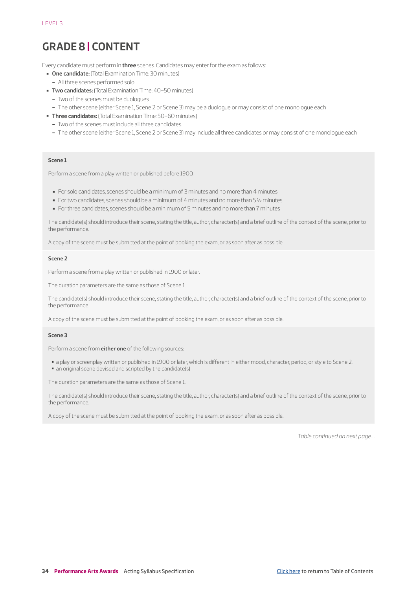# <span id="page-33-0"></span>**GRADE 8 | CONTENT**

Every candidate must perform in **three** scenes. Candidates may enter for the exam as follows:

- ▬ **One candidate:** (Total Examination Time: 30 minutes)
- All three scenes performed solo
- **Two candidates:** (Total Examination Time: 40-50 minutes)
	- Two of the scenes must be duologues.
	- The other scene (either Scene 1, Scene 2 or Scene 3) may be a duologue or may consist of one monologue each
- ▬ **Three candidates:** (Total Examination Time: 50–60 minutes)
	- Two of the scenes must include all three candidates.
	- The other scene (either Scene 1, Scene 2 or Scene 3) may include all three candidates or may consist of one monologue each

#### **Scene 1**

Perform a scene from a play written or published before 1900.

- For solo candidates, scenes should be a minimum of 3 minutes and no more than 4 minutes
- For two candidates, scenes should be a minimum of 4 minutes and no more than 5 1/2 minutes
- For three candidates, scenes should be a minimum of 5 minutes and no more than 7 minutes

The candidate(s) should introduce their scene, stating the title, author, character(s) and a brief outline of the context of the scene, prior to the performance.

A copy of the scene must be submitted at the point of booking the exam, or as soon after as possible.

#### **Scene 2**

Perform a scene from a play written or published in 1900 or later.

The duration parameters are the same as those of Scene 1.

The candidate(s) should introduce their scene, stating the title, author, character(s) and a brief outline of the context of the scene, prior to the performance.

A copy of the scene must be submitted at the point of booking the exam, or as soon after as possible.

#### **Scene 3**

Perform a scene from **either one** of the following sources:

- a play or screenplay written or published in 1900 or later, which is different in either mood, character, period, or style to Scene 2.
- an original scene devised and scripted by the candidate(s)

The duration parameters are the same as those of Scene 1.

The candidate(s) should introduce their scene, stating the title, author, character(s) and a brief outline of the context of the scene, prior to the performance.

A copy of the scene must be submitted at the point of booking the exam, or as soon after as possible.

*Table continued on next page…*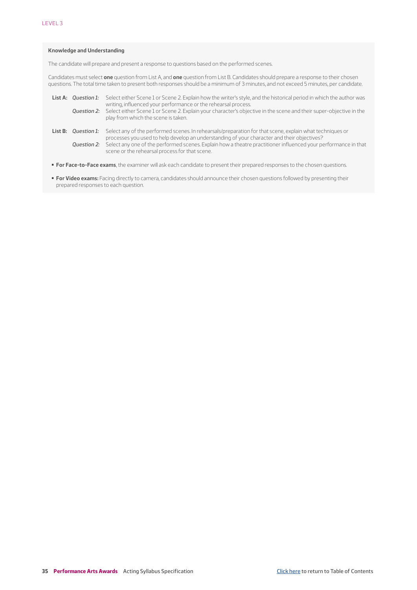#### **Knowledge and Understanding**

The candidate will prepare and present a response to questions based on the performed scenes.

Candidates must select **one** question from List A, and **one** question from List B. Candidates should prepare a response to their chosen questions. The total time taken to present both responses should be a minimum of 3 minutes, and not exceed 5 minutes, per candidate.

|                            | List A: Question 1: Select either Scene 1 or Scene 2. Explain how the writer's style, and the historical period in which the author was<br>writing, influenced your performance or the rehearsal process.<br>Question 2: Select either Scene 1 or Scene 2. Explain your character's objective in the scene and their super-objective in the<br>play from which the scene is taken.             |
|----------------------------|------------------------------------------------------------------------------------------------------------------------------------------------------------------------------------------------------------------------------------------------------------------------------------------------------------------------------------------------------------------------------------------------|
| <b>List B:</b> Ouestion 1: | Select any of the performed scenes. In rehearsals/preparation for that scene, explain what techniques or<br>processes you used to help develop an understanding of your character and their objectives?<br><b>Question 2:</b> Select any one of the performed scenes. Explain how a theatre practitioner influenced your performance in that<br>scene or the rehearsal process for that scene. |

▬ **For Face-to-Face exams**, the examiner will ask each candidate to present their prepared responses to the chosen questions.

▬ **For Video exams:** Facing directly to camera, candidates should announce their chosen questions followed by presenting their prepared responses to each question.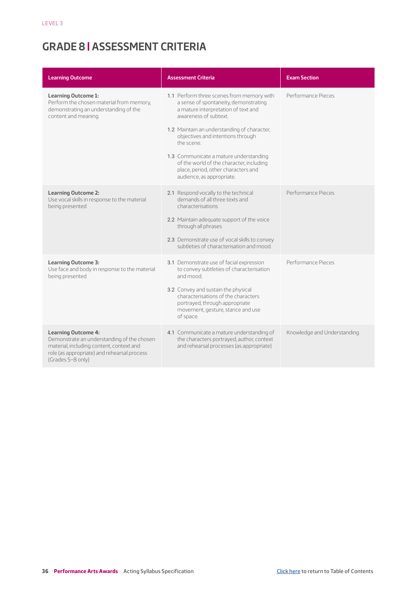# <span id="page-35-0"></span>**GRADE 8 | ASSESSMENT CRITERIA**

| <b>Learning Outcome</b>                                                                                                                                                                  | <b>Assessment Criteria</b>                                                                                                                                                                                                                                                                                                                                                                                     | <b>Exam Section</b>         |
|------------------------------------------------------------------------------------------------------------------------------------------------------------------------------------------|----------------------------------------------------------------------------------------------------------------------------------------------------------------------------------------------------------------------------------------------------------------------------------------------------------------------------------------------------------------------------------------------------------------|-----------------------------|
| <b>Learning Outcome 1:</b><br>Perform the chosen material from memory,<br>demonstrating an understanding of the<br>content and meaning                                                   | 1.1 Perform three scenes from memory with<br>a sense of spontaneity, demonstrating<br>a mature interpretation of text and<br>awareness of subtext.<br>1.2 Maintain an understanding of character,<br>objectives and intentions through<br>the scene.<br>1.3 Communicate a mature understanding<br>of the world of the character, including<br>place, period, other characters and<br>audience, as appropriate. | Performance Pieces          |
| <b>Learning Outcome 2:</b><br>Use vocal skills in response to the material<br>being presented                                                                                            | 2.1 Respond vocally to the technical<br>demands of all three texts and<br>characterisations<br>2.2 Maintain adequate support of the voice<br>through all phrases<br>2.3 Demonstrate use of vocal skills to convey<br>subtleties of characterisation and mood.                                                                                                                                                  | Performance Pieces          |
| <b>Learning Outcome 3:</b><br>Use face and body in response to the material<br>being presented                                                                                           | 3.1 Demonstrate use of facial expression<br>to convey subtleties of characterisation<br>hoom hns<br>3.2 Convey and sustain the physical<br>characterisations of the characters<br>portrayed, through appropriate<br>movement, gesture, stance and use<br>of space.                                                                                                                                             | Performance Pieces          |
| <b>Learning Outcome 4:</b><br>Demonstrate an understanding of the chosen<br>material, including content, context and<br>role (as appropriate) and rehearsal process<br>(Grades 5-8 only) | 4.1 Communicate a mature understanding of<br>the characters portrayed, author, context<br>and rehearsal processes (as appropriate)                                                                                                                                                                                                                                                                             | Knowledge and Understanding |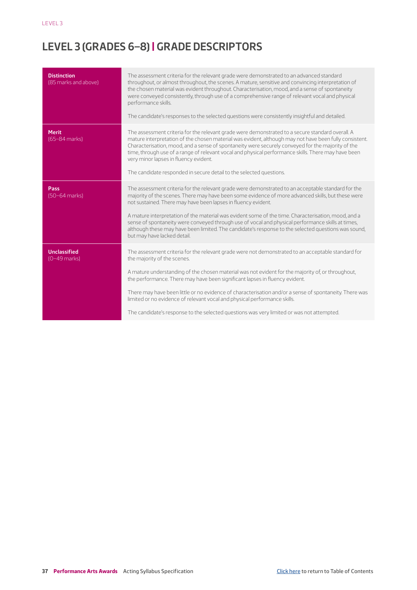# <span id="page-36-0"></span>**LEVEL 3 (GRADES 6–8) | GRADE DESCRIPTORS**

| <b>Distinction</b><br>(85 marks and above) | The assessment criteria for the relevant grade were demonstrated to an advanced standard<br>throughout, or almost throughout, the scenes. A mature, sensitive and convincing interpretation of<br>the chosen material was evident throughout. Characterisation, mood, and a sense of spontaneity<br>were conveyed consistently, through use of a comprehensive range of relevant vocal and physical<br>performance skills.<br>The candidate's responses to the selected questions were consistently insightful and detailed.                                                                                               |
|--------------------------------------------|----------------------------------------------------------------------------------------------------------------------------------------------------------------------------------------------------------------------------------------------------------------------------------------------------------------------------------------------------------------------------------------------------------------------------------------------------------------------------------------------------------------------------------------------------------------------------------------------------------------------------|
| <b>Merit</b><br>(65-84 marks)              | The assessment criteria for the relevant grade were demonstrated to a secure standard overall. A<br>mature interpretation of the chosen material was evident, although may not have been fully consistent.<br>Characterisation, mood, and a sense of spontaneity were securely conveyed for the majority of the<br>time, through use of a range of relevant vocal and physical performance skills. There may have been<br>very minor lapses in fluency evident.<br>The candidate responded in secure detail to the selected questions.                                                                                     |
| Pass<br>(50-64 marks)                      | The assessment criteria for the relevant grade were demonstrated to an acceptable standard for the<br>majority of the scenes. There may have been some evidence of more advanced skills, but these were<br>not sustained. There may have been lapses in fluency evident.<br>A mature interpretation of the material was evident some of the time. Characterisation, mood, and a<br>sense of spontaneity were conveyed through use of vocal and physical performance skills at times,<br>although these may have been limited. The candidate's response to the selected questions was sound,<br>but may have lacked detail. |
| <b>Unclassified</b><br>$(0-49$ marks)      | The assessment criteria for the relevant grade were not demonstrated to an acceptable standard for<br>the majority of the scenes.<br>A mature understanding of the chosen material was not evident for the majority of, or throughout,<br>the performance. There may have been significant lapses in fluency evident.<br>There may have been little or no evidence of characterisation and/or a sense of spontaneity. There was<br>limited or no evidence of relevant vocal and physical performance skills.<br>The candidate's response to the selected questions was very limited or was not attempted.                  |